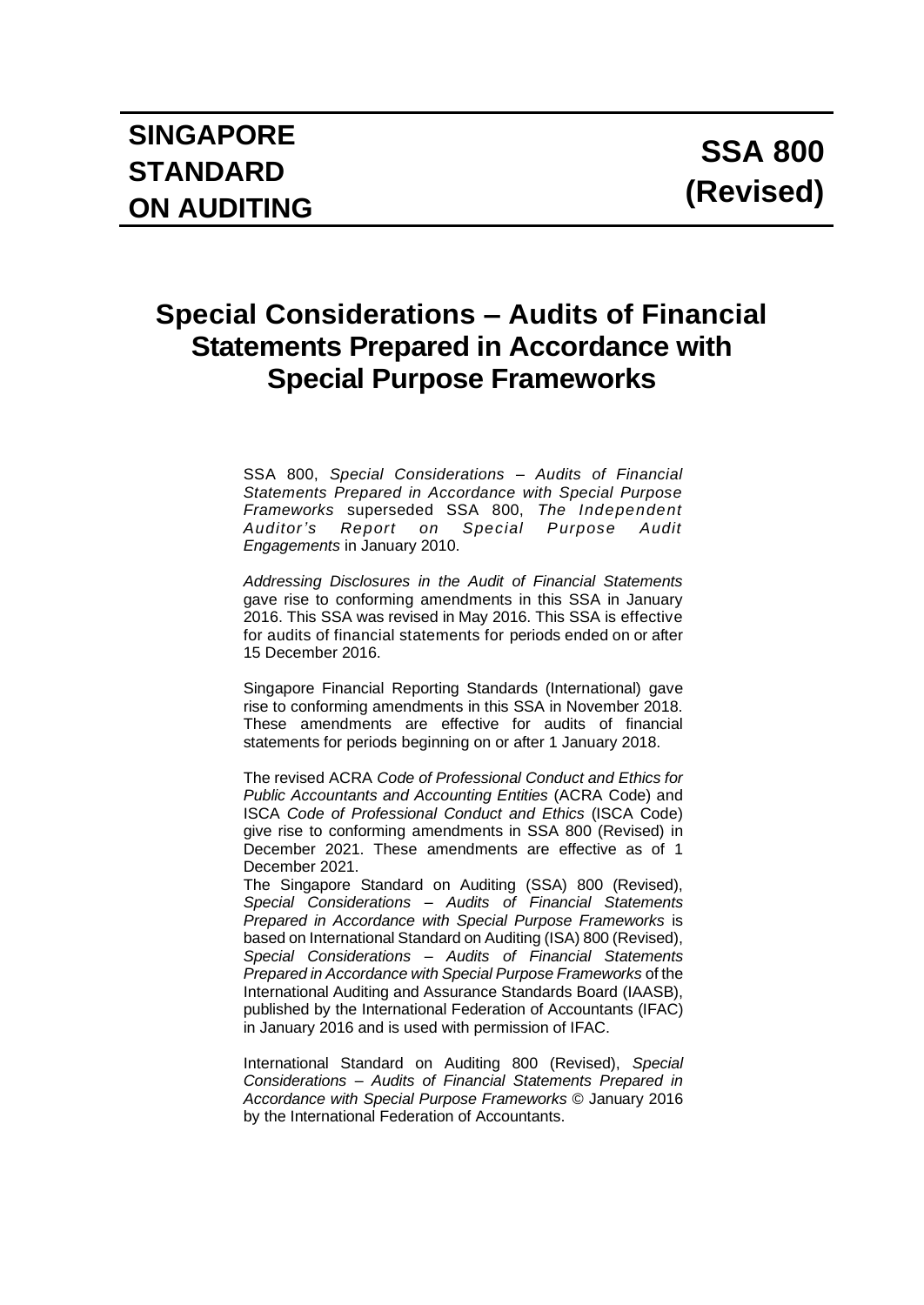# **Special Considerations – Audits of Financial Statements Prepared in Accordance with Special Purpose Frameworks**

SSA 800, *Special Considerations – Audits of Financial Statements Prepared in Accordance with Special Purpose Frameworks* superseded SSA 800, *The Independent Auditor's Report on Special Purpose Audit Engagements* in January 2010.

*Addressing Disclosures in the Audit of Financial Statements* gave rise to conforming amendments in this SSA in January 2016. This SSA was revised in May 2016. This SSA is effective for audits of financial statements for periods ended on or after 15 December 2016.

Singapore Financial Reporting Standards (International) gave rise to conforming amendments in this SSA in November 2018. These amendments are effective for audits of financial statements for periods beginning on or after 1 January 2018.

The revised ACRA *Code of Professional Conduct and Ethics for Public Accountants and Accounting Entities* (ACRA Code) and ISCA *Code of Professional Conduct and Ethics* (ISCA Code) give rise to conforming amendments in SSA 800 (Revised) in December 2021. These amendments are effective as of 1 December 2021.

The Singapore Standard on Auditing (SSA) 800 (Revised), *Special Considerations – Audits of Financial Statements Prepared in Accordance with Special Purpose Frameworks* is based on International Standard on Auditing (ISA) 800 (Revised), *Special Considerations – Audits of Financial Statements Prepared in Accordance with Special Purpose Frameworks* of the International Auditing and Assurance Standards Board (IAASB), published by the International Federation of Accountants (IFAC) in January 2016 and is used with permission of IFAC.

International Standard on Auditing 800 (Revised), *Special Considerations – Audits of Financial Statements Prepared in Accordance with Special Purpose Frameworks* © January 2016 by the International Federation of Accountants.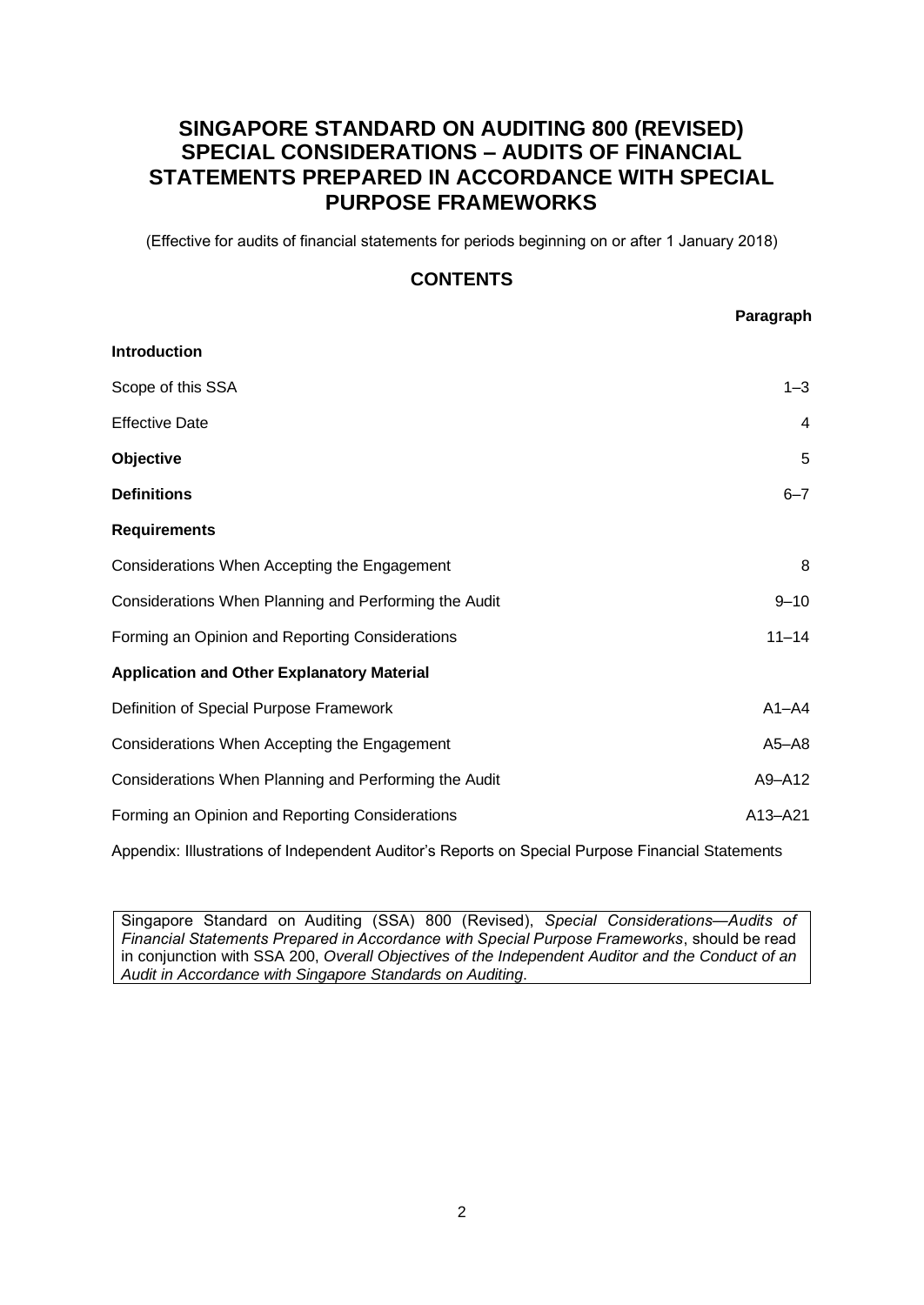## **SINGAPORE STANDARD ON AUDITING 800 (REVISED) SPECIAL CONSIDERATIONS – AUDITS OF FINANCIAL STATEMENTS PREPARED IN ACCORDANCE WITH SPECIAL PURPOSE FRAMEWORKS**

(Effective for audits of financial statements for periods beginning on or after 1 January 2018)

### **CONTENTS**

#### **Paragraph**

| Introduction                                          |             |
|-------------------------------------------------------|-------------|
| Scope of this SSA                                     | $1 - 3$     |
| <b>Effective Date</b>                                 | 4           |
| Objective                                             | 5           |
| <b>Definitions</b>                                    | $6 - 7$     |
| <b>Requirements</b>                                   |             |
| Considerations When Accepting the Engagement          | 8           |
| Considerations When Planning and Performing the Audit | $9 - 10$    |
| Forming an Opinion and Reporting Considerations       | $11 - 14$   |
| <b>Application and Other Explanatory Material</b>     |             |
| Definition of Special Purpose Framework               | $A1 - A4$   |
| Considerations When Accepting the Engagement          | $A5 - A8$   |
| Considerations When Planning and Performing the Audit | A9-A12      |
| Forming an Opinion and Reporting Considerations       | $A13 - A21$ |

Appendix: Illustrations of Independent Auditor's Reports on Special Purpose Financial Statements

Singapore Standard on Auditing (SSA) 800 (Revised), *Special Considerations—Audits of Financial Statements Prepared in Accordance with Special Purpose Frameworks*, should be read in conjunction with SSA 200, *Overall Objectives of the Independent Auditor and the Conduct of an Audit in Accordance with Singapore Standards on Auditing*.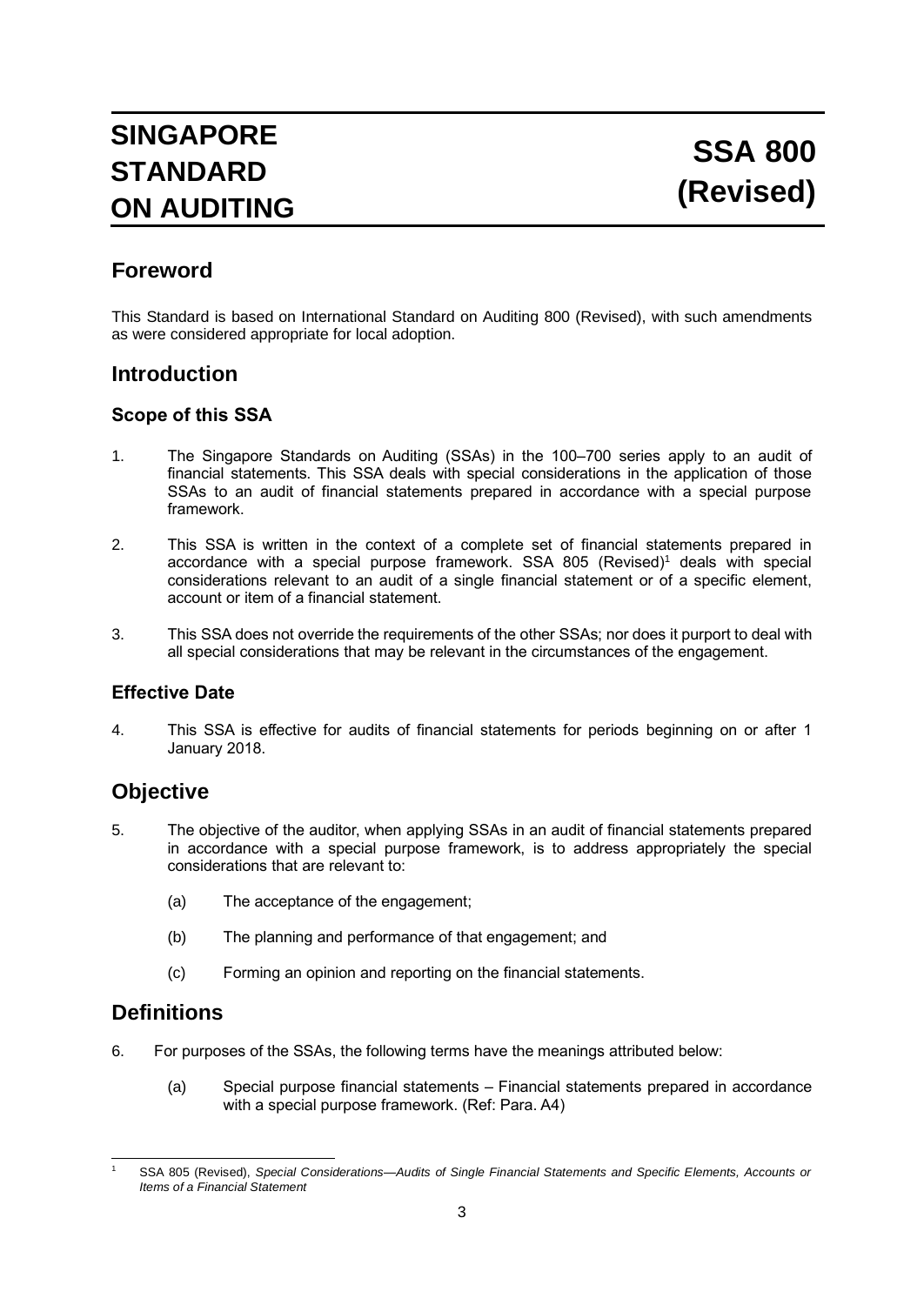## **Foreword**

This Standard is based on International Standard on Auditing 800 (Revised), with such amendments as were considered appropriate for local adoption.

## **Introduction**

## **Scope of this SSA**

- 1. The Singapore Standards on Auditing (SSAs) in the 100–700 series apply to an audit of financial statements. This SSA deals with special considerations in the application of those SSAs to an audit of financial statements prepared in accordance with a special purpose framework.
- 2. This SSA is written in the context of a complete set of financial statements prepared in accordance with a special purpose framework. SSA 805 (Revised)<sup>1</sup> deals with special considerations relevant to an audit of a single financial statement or of a specific element, account or item of a financial statement.
- 3. This SSA does not override the requirements of the other SSAs; nor does it purport to deal with all special considerations that may be relevant in the circumstances of the engagement.

## **Effective Date**

4. This SSA is effective for audits of financial statements for periods beginning on or after 1 January 2018.

## **Objective**

- 5. The objective of the auditor, when applying SSAs in an audit of financial statements prepared in accordance with a special purpose framework, is to address appropriately the special considerations that are relevant to:
	- (a) The acceptance of the engagement;
	- (b) The planning and performance of that engagement; and
	- (c) Forming an opinion and reporting on the financial statements.

## **Definitions**

- 6. For purposes of the SSAs, the following terms have the meanings attributed below:
	- (a) Special purpose financial statements Financial statements prepared in accordance with a special purpose framework. (Ref: Para. A4)

<sup>1</sup> SSA 805 (Revised), *Special Considerations—Audits of Single Financial Statements and Specific Elements, Accounts or Items of a Financial Statement*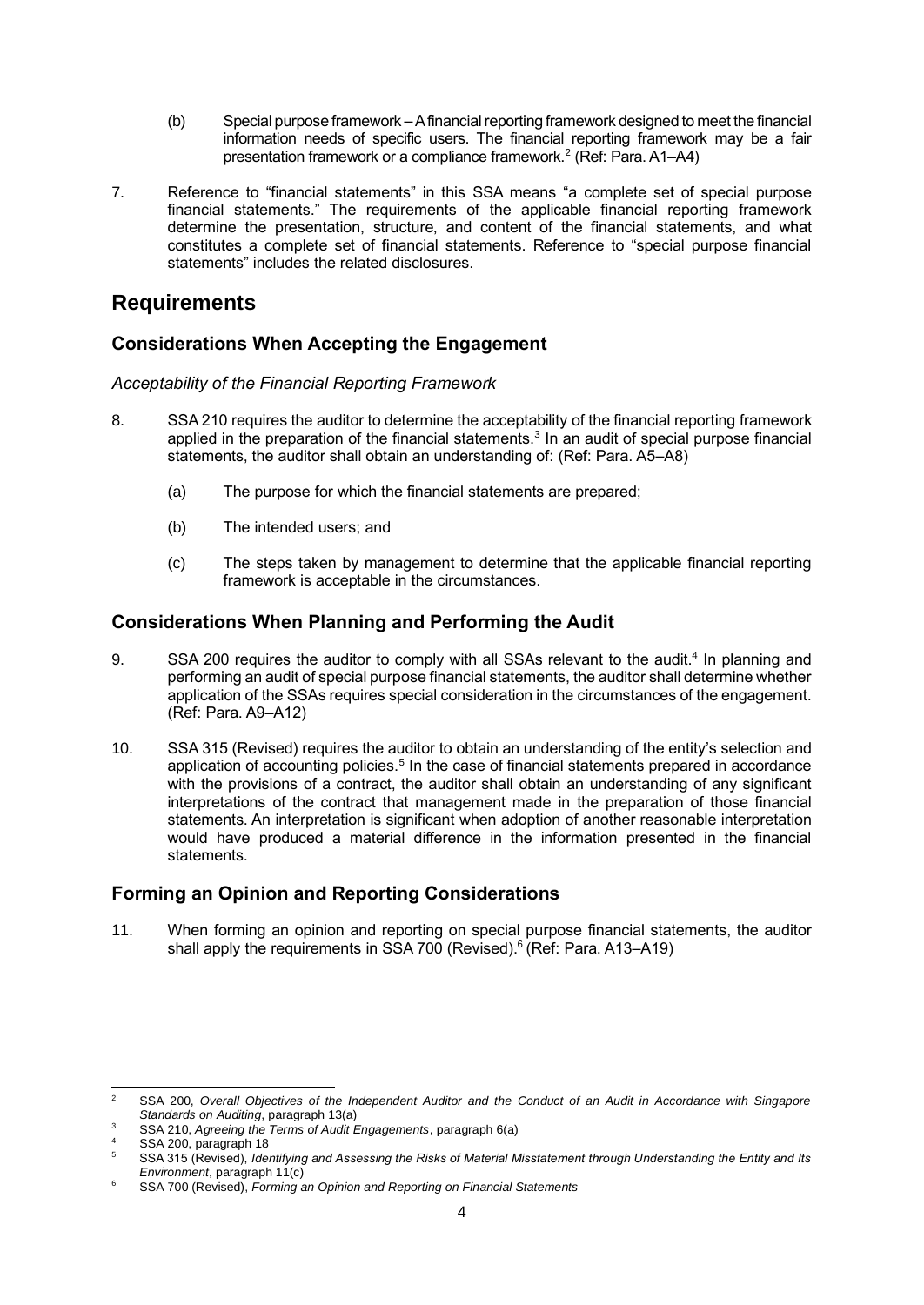- (b) Special purpose framework –A financial reporting framework designed to meet the financial information needs of specific users. The financial reporting framework may be a fair presentation framework or a compliance framework.<sup>2</sup> (Ref: Para. A1–A4)
- 7. Reference to "financial statements" in this SSA means "a complete set of special purpose financial statements." The requirements of the applicable financial reporting framework determine the presentation, structure, and content of the financial statements, and what constitutes a complete set of financial statements. Reference to "special purpose financial statements" includes the related disclosures.

## **Requirements**

## **Considerations When Accepting the Engagement**

### *Acceptability of the Financial Reporting Framework*

- 8. SSA 210 requires the auditor to determine the acceptability of the financial reporting framework applied in the preparation of the financial statements.<sup>3</sup> In an audit of special purpose financial statements, the auditor shall obtain an understanding of: (Ref: Para. A5–A8)
	- (a) The purpose for which the financial statements are prepared;
	- (b) The intended users; and
	- (c) The steps taken by management to determine that the applicable financial reporting framework is acceptable in the circumstances.

## **Considerations When Planning and Performing the Audit**

- 9. SSA 200 requires the auditor to comply with all SSAs relevant to the audit.<sup>4</sup> In planning and performing an audit of special purpose financial statements, the auditor shall determine whether application of the SSAs requires special consideration in the circumstances of the engagement. (Ref: Para. A9–A12)
- 10. SSA 315 (Revised) requires the auditor to obtain an understanding of the entity's selection and application of accounting policies.<sup>5</sup> In the case of financial statements prepared in accordance with the provisions of a contract, the auditor shall obtain an understanding of any significant interpretations of the contract that management made in the preparation of those financial statements. An interpretation is significant when adoption of another reasonable interpretation would have produced a material difference in the information presented in the financial statements.

## **Forming an Opinion and Reporting Considerations**

11. When forming an opinion and reporting on special purpose financial statements, the auditor shall apply the requirements in SSA 700 (Revised).<sup>6</sup> (Ref: Para. A13–A19)

<sup>&</sup>lt;sup>2</sup> SSA 200, Overall Objectives of the Independent Auditor and the Conduct of an Audit in Accordance with Singapore *Standards on Auditing*, paragraph 13(a)

<sup>3</sup> SSA 210, *Agreeing the Terms of Audit Engagements*, paragraph 6(a)

 $4$  SSA 200, paragraph 18

<sup>5</sup> SSA 315 (Revised), *Identifying and Assessing the Risks of Material Misstatement through Understanding the Entity and Its Environment*, paragraph 11(c)

<sup>6</sup> SSA 700 (Revised), *Forming an Opinion and Reporting on Financial Statements*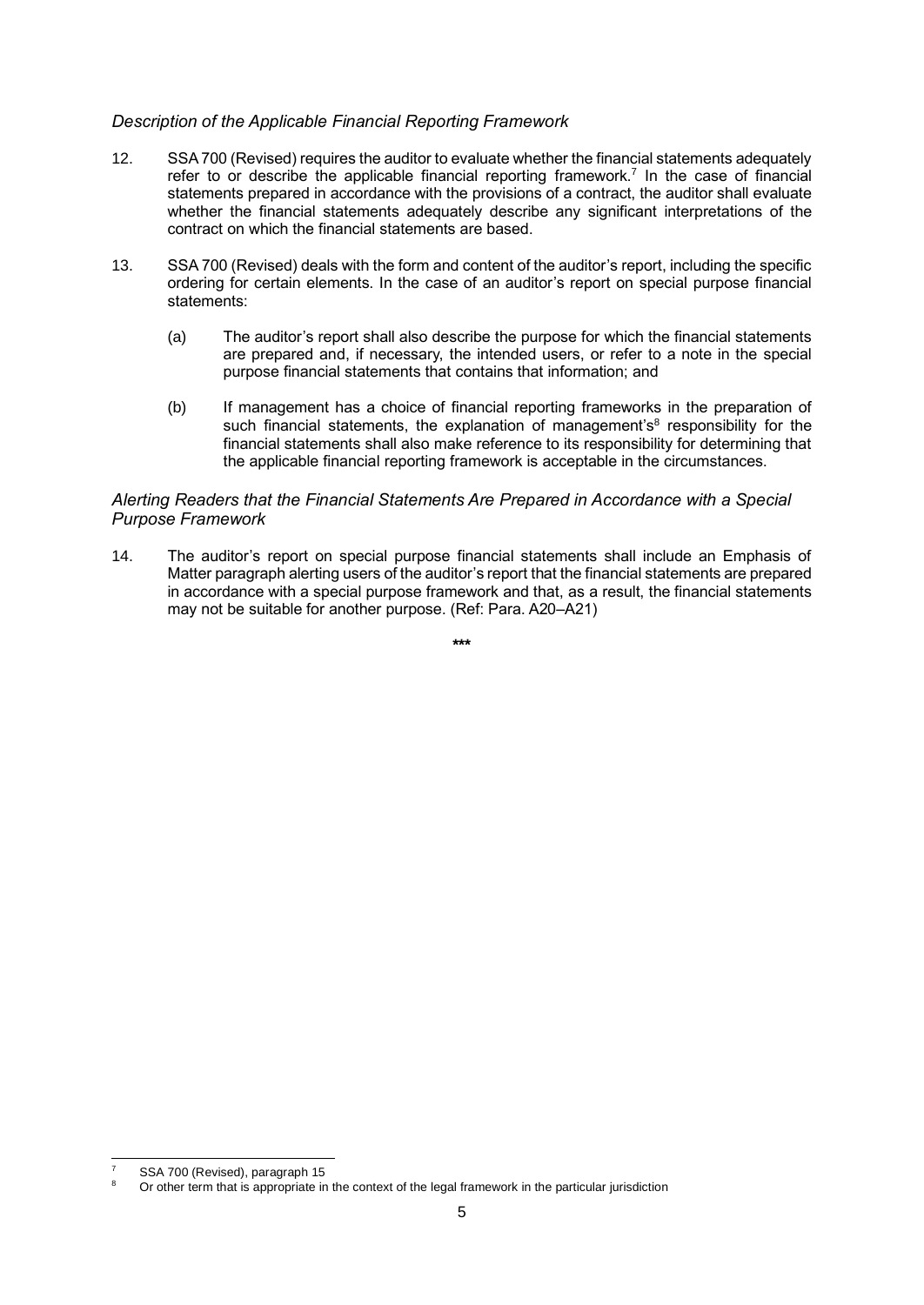#### *Description of the Applicable Financial Reporting Framework*

- 12. SSA 700 (Revised) requires the auditor to evaluate whether the financial statements adequately refer to or describe the applicable financial reporting framework.<sup>7</sup> In the case of financial statements prepared in accordance with the provisions of a contract, the auditor shall evaluate whether the financial statements adequately describe any significant interpretations of the contract on which the financial statements are based.
- 13. SSA 700 (Revised) deals with the form and content of the auditor's report, including the specific ordering for certain elements. In the case of an auditor's report on special purpose financial statements:
	- (a) The auditor's report shall also describe the purpose for which the financial statements are prepared and, if necessary, the intended users, or refer to a note in the special purpose financial statements that contains that information; and
	- (b) If management has a choice of financial reporting frameworks in the preparation of such financial statements, the explanation of management's<sup>8</sup> responsibility for the financial statements shall also make reference to its responsibility for determining that the applicable financial reporting framework is acceptable in the circumstances.

#### *Alerting Readers that the Financial Statements Are Prepared in Accordance with a Special Purpose Framework*

14. The auditor's report on special purpose financial statements shall include an Emphasis of Matter paragraph alerting users of the auditor's report that the financial statements are prepared in accordance with a special purpose framework and that, as a result, the financial statements may not be suitable for another purpose. (Ref: Para. A20–A21)

**\*\*\***

SSA 700 (Revised), paragraph 15

Or other term that is appropriate in the context of the legal framework in the particular jurisdiction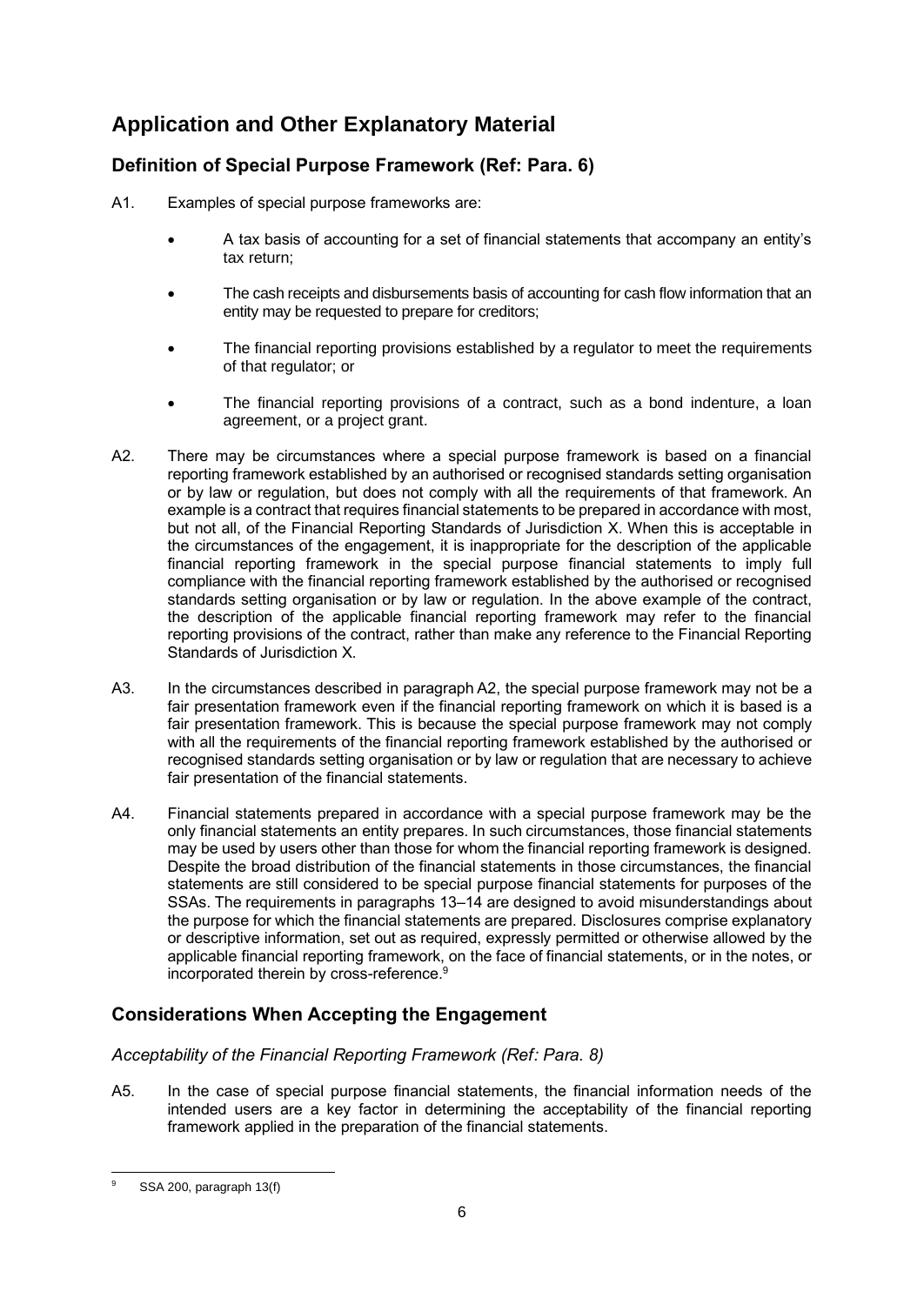## **Application and Other Explanatory Material**

## **Definition of Special Purpose Framework (Ref: Para. 6)**

- A1. Examples of special purpose frameworks are:
	- A tax basis of accounting for a set of financial statements that accompany an entity's tax return;
	- The cash receipts and disbursements basis of accounting for cash flow information that an entity may be requested to prepare for creditors;
	- The financial reporting provisions established by a regulator to meet the requirements of that regulator; or
	- The financial reporting provisions of a contract, such as a bond indenture, a loan agreement, or a project grant.
- A2. There may be circumstances where a special purpose framework is based on a financial reporting framework established by an authorised or recognised standards setting organisation or by law or regulation, but does not comply with all the requirements of that framework. An example is a contract that requires financial statements to be prepared in accordance with most, but not all, of the Financial Reporting Standards of Jurisdiction X. When this is acceptable in the circumstances of the engagement, it is inappropriate for the description of the applicable financial reporting framework in the special purpose financial statements to imply full compliance with the financial reporting framework established by the authorised or recognised standards setting organisation or by law or regulation. In the above example of the contract, the description of the applicable financial reporting framework may refer to the financial reporting provisions of the contract, rather than make any reference to the Financial Reporting Standards of Jurisdiction X.
- A3. In the circumstances described in paragraph A2, the special purpose framework may not be a fair presentation framework even if the financial reporting framework on which it is based is a fair presentation framework. This is because the special purpose framework may not comply with all the requirements of the financial reporting framework established by the authorised or recognised standards setting organisation or by law or regulation that are necessary to achieve fair presentation of the financial statements.
- A4. Financial statements prepared in accordance with a special purpose framework may be the only financial statements an entity prepares. In such circumstances, those financial statements may be used by users other than those for whom the financial reporting framework is designed. Despite the broad distribution of the financial statements in those circumstances, the financial statements are still considered to be special purpose financial statements for purposes of the SSAs. The requirements in paragraphs 13–14 are designed to avoid misunderstandings about the purpose for which the financial statements are prepared. Disclosures comprise explanatory or descriptive information, set out as required, expressly permitted or otherwise allowed by the applicable financial reporting framework, on the face of financial statements, or in the notes, or incorporated therein by cross-reference.<sup>9</sup>

## **Considerations When Accepting the Engagement**

## *Acceptability of the Financial Reporting Framework (Ref: Para. 8)*

A5. In the case of special purpose financial statements, the financial information needs of the intended users are a key factor in determining the acceptability of the financial reporting framework applied in the preparation of the financial statements.

SSA 200, paragraph 13(f)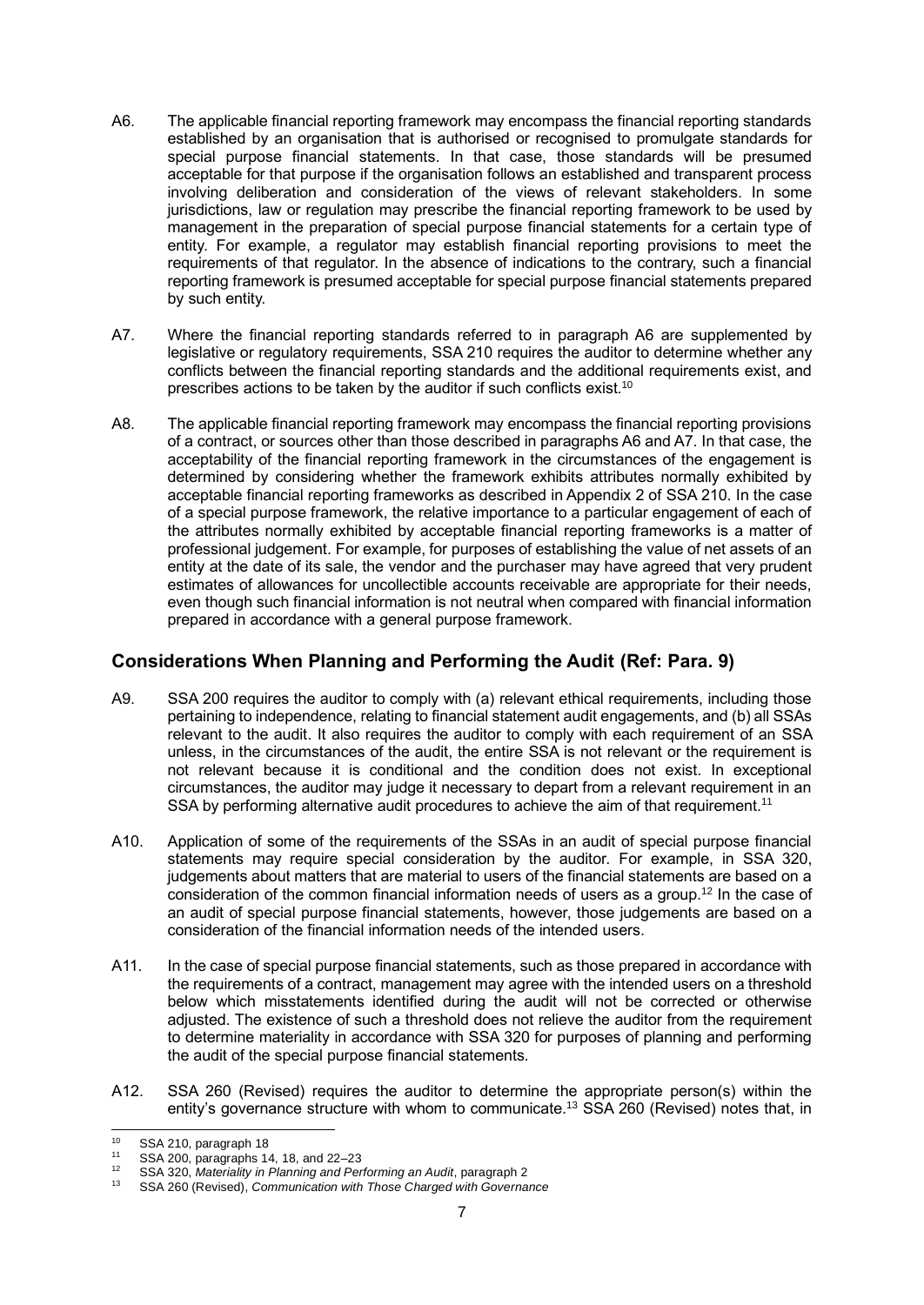- A6. The applicable financial reporting framework may encompass the financial reporting standards established by an organisation that is authorised or recognised to promulgate standards for special purpose financial statements. In that case, those standards will be presumed acceptable for that purpose if the organisation follows an established and transparent process involving deliberation and consideration of the views of relevant stakeholders. In some jurisdictions, law or regulation may prescribe the financial reporting framework to be used by management in the preparation of special purpose financial statements for a certain type of entity. For example, a regulator may establish financial reporting provisions to meet the requirements of that regulator. In the absence of indications to the contrary, such a financial reporting framework is presumed acceptable for special purpose financial statements prepared by such entity.
- A7. Where the financial reporting standards referred to in paragraph A6 are supplemented by legislative or regulatory requirements, SSA 210 requires the auditor to determine whether any conflicts between the financial reporting standards and the additional requirements exist, and prescribes actions to be taken by the auditor if such conflicts exist.<sup>10</sup>
- A8. The applicable financial reporting framework may encompass the financial reporting provisions of a contract, or sources other than those described in paragraphs A6 and A7. In that case, the acceptability of the financial reporting framework in the circumstances of the engagement is determined by considering whether the framework exhibits attributes normally exhibited by acceptable financial reporting frameworks as described in Appendix 2 of SSA 210. In the case of a special purpose framework, the relative importance to a particular engagement of each of the attributes normally exhibited by acceptable financial reporting frameworks is a matter of professional judgement. For example, for purposes of establishing the value of net assets of an entity at the date of its sale, the vendor and the purchaser may have agreed that very prudent estimates of allowances for uncollectible accounts receivable are appropriate for their needs, even though such financial information is not neutral when compared with financial information prepared in accordance with a general purpose framework.

## **Considerations When Planning and Performing the Audit (Ref: Para. 9)**

- A9. SSA 200 requires the auditor to comply with (a) relevant ethical requirements, including those pertaining to independence, relating to financial statement audit engagements, and (b) all SSAs relevant to the audit. It also requires the auditor to comply with each requirement of an SSA unless, in the circumstances of the audit, the entire SSA is not relevant or the requirement is not relevant because it is conditional and the condition does not exist. In exceptional circumstances, the auditor may judge it necessary to depart from a relevant requirement in an SSA by performing alternative audit procedures to achieve the aim of that requirement.<sup>11</sup>
- A10. Application of some of the requirements of the SSAs in an audit of special purpose financial statements may require special consideration by the auditor. For example, in SSA 320, judgements about matters that are material to users of the financial statements are based on a consideration of the common financial information needs of users as a group.<sup>12</sup> In the case of an audit of special purpose financial statements, however, those judgements are based on a consideration of the financial information needs of the intended users.
- A11. In the case of special purpose financial statements, such as those prepared in accordance with the requirements of a contract, management may agree with the intended users on a threshold below which misstatements identified during the audit will not be corrected or otherwise adjusted. The existence of such a threshold does not relieve the auditor from the requirement to determine materiality in accordance with SSA 320 for purposes of planning and performing the audit of the special purpose financial statements.
- A12. SSA 260 (Revised) requires the auditor to determine the appropriate person(s) within the entity's governance structure with whom to communicate.<sup>13</sup> SSA 260 (Revised) notes that, in

 $^{10}$  SSA 210, paragraph 18

<sup>&</sup>lt;sup>11</sup> SSA 200, paragraphs 14, 18, and 22–23

<sup>12</sup> SSA 320, *Materiality in Planning and Performing an Audit*, paragraph 2

<sup>13</sup> SSA 260 (Revised), *Communication with Those Charged with Governance*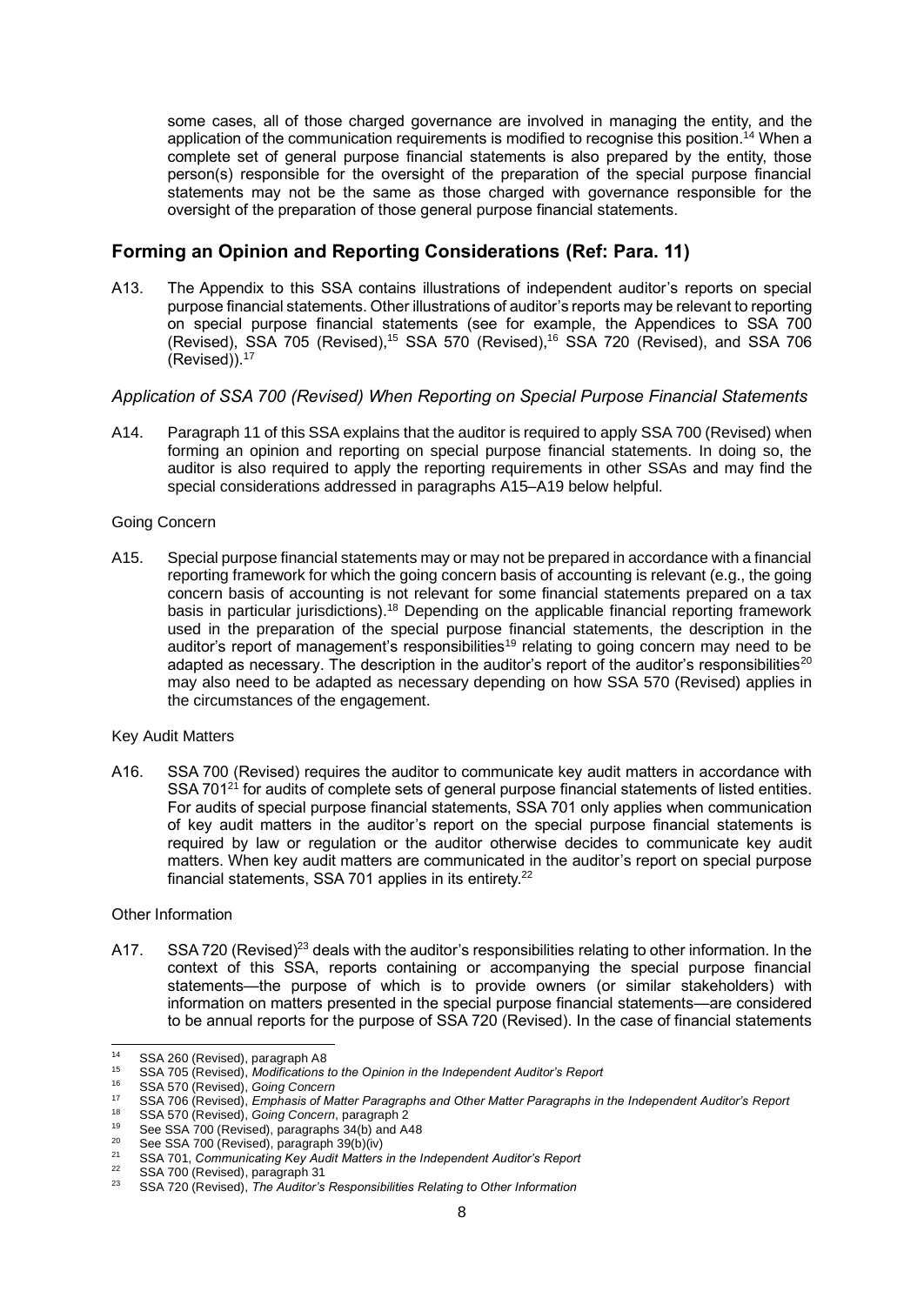some cases, all of those charged governance are involved in managing the entity, and the application of the communication requirements is modified to recognise this position.<sup>14</sup> When a complete set of general purpose financial statements is also prepared by the entity, those person(s) responsible for the oversight of the preparation of the special purpose financial statements may not be the same as those charged with governance responsible for the oversight of the preparation of those general purpose financial statements.

## **Forming an Opinion and Reporting Considerations (Ref: Para. 11)**

A13. The Appendix to this SSA contains illustrations of independent auditor's reports on special purpose financial statements. Other illustrations of auditor's reports may be relevant to reporting on special purpose financial statements (see for example, the Appendices to SSA 700 (Revised), SSA 705 (Revised),<sup>15</sup> SSA 570 (Revised),<sup>16</sup> SSA 720 (Revised), and SSA 706 (Revised)).<sup>17</sup>

#### *Application of SSA 700 (Revised) When Reporting on Special Purpose Financial Statements*

A14. Paragraph 11 of this SSA explains that the auditor is required to apply SSA 700 (Revised) when forming an opinion and reporting on special purpose financial statements. In doing so, the auditor is also required to apply the reporting requirements in other SSAs and may find the special considerations addressed in paragraphs A15–A19 below helpful.

#### Going Concern

A15. Special purpose financial statements may or may not be prepared in accordance with a financial reporting framework for which the going concern basis of accounting is relevant (e.g., the going concern basis of accounting is not relevant for some financial statements prepared on a tax basis in particular jurisdictions).<sup>18</sup> Depending on the applicable financial reporting framework used in the preparation of the special purpose financial statements, the description in the auditor's report of management's responsibilities<sup>19</sup> relating to going concern may need to be adapted as necessary. The description in the auditor's report of the auditor's responsibilities<sup>20</sup> may also need to be adapted as necessary depending on how SSA 570 (Revised) applies in the circumstances of the engagement.

#### Key Audit Matters

A16. SSA 700 (Revised) requires the auditor to communicate key audit matters in accordance with SSA 701<sup>21</sup> for audits of complete sets of general purpose financial statements of listed entities. For audits of special purpose financial statements, SSA 701 only applies when communication of key audit matters in the auditor's report on the special purpose financial statements is required by law or regulation or the auditor otherwise decides to communicate key audit matters. When key audit matters are communicated in the auditor's report on special purpose financial statements, SSA 701 applies in its entirety.<sup>22</sup>

#### Other Information

A17. SSA 720 (Revised)<sup>23</sup> deals with the auditor's responsibilities relating to other information. In the context of this SSA, reports containing or accompanying the special purpose financial statements—the purpose of which is to provide owners (or similar stakeholders) with information on matters presented in the special purpose financial statements—are considered to be annual reports for the purpose of SSA 720 (Revised). In the case of financial statements

<sup>&</sup>lt;sup>14</sup> SSA 260 (Revised), paragraph A8

<sup>15</sup> SSA 705 (Revised), *Modifications to the Opinion in the Independent Auditor's Report* 

<sup>16</sup> SSA 570 (Revised), *Going Concern*

<sup>17</sup> SSA 706 (Revised), *Emphasis of Matter Paragraphs and Other Matter Paragraphs in the Independent Auditor's Report* 

<sup>18</sup> SSA 570 (Revised), *Going Concern*, paragraph 2

<sup>&</sup>lt;sup>19</sup> See SSA 700 (Revised), paragraphs  $34(b)$  and A48<br><sup>20</sup> See SSA 700 (Bovised), paragraph  $30(b)(v)$ 

<sup>&</sup>lt;sup>20</sup> See SSA 700 (Revised), paragraph 39(b)(iv)<sup>21</sup> SSA 704 Communicating Key Audit Matters

<sup>21</sup> SSA 701, *Communicating Key Audit Matters in the Independent Auditor's Report* 

SSA 700 (Revised), paragraph 31

<sup>23</sup> SSA 720 (Revised), *The Auditor's Responsibilities Relating to Other Information*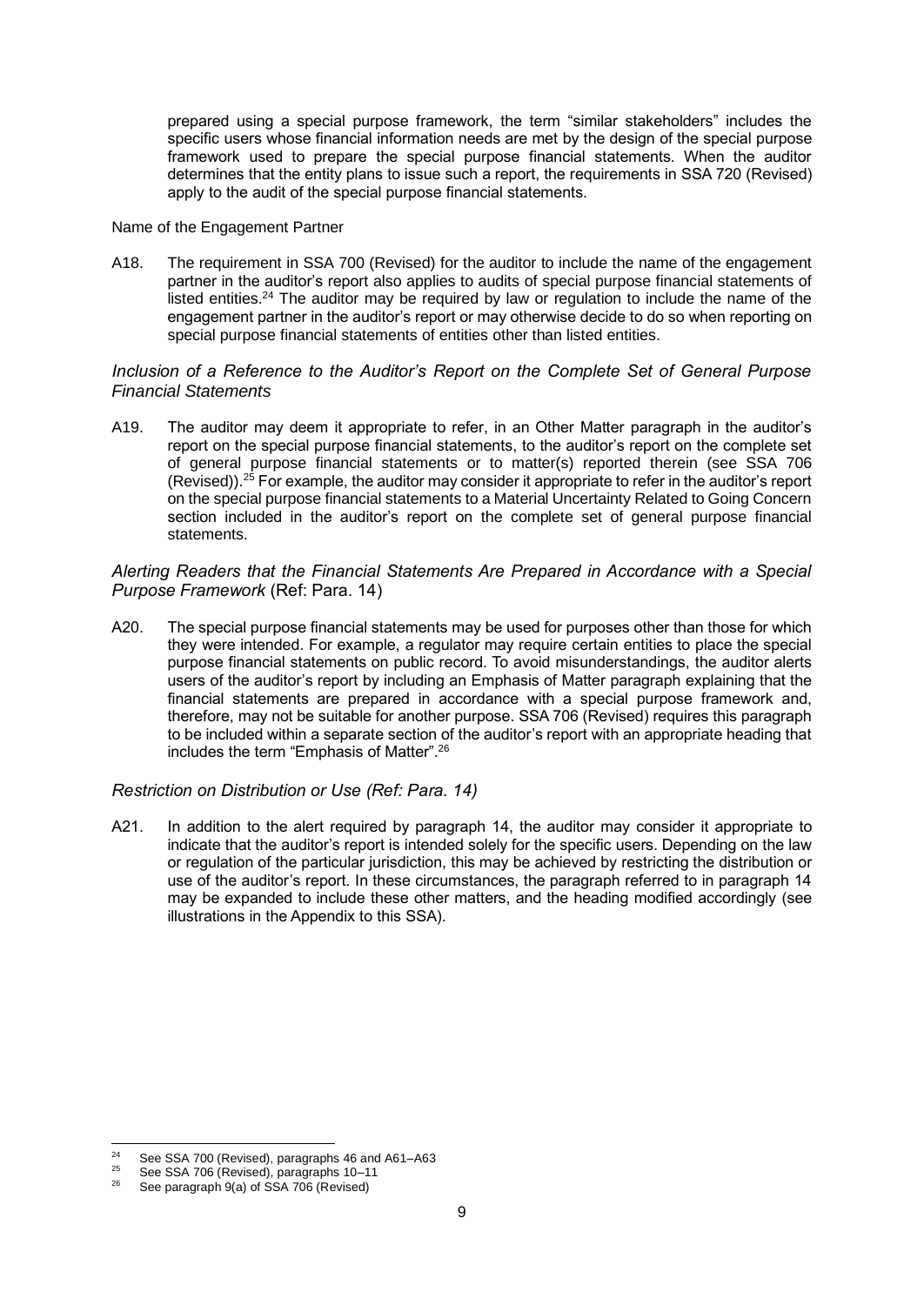prepared using a special purpose framework, the term "similar stakeholders" includes the specific users whose financial information needs are met by the design of the special purpose framework used to prepare the special purpose financial statements. When the auditor determines that the entity plans to issue such a report, the requirements in SSA 720 (Revised) apply to the audit of the special purpose financial statements.

#### Name of the Engagement Partner

A18. The requirement in SSA 700 (Revised) for the auditor to include the name of the engagement partner in the auditor's report also applies to audits of special purpose financial statements of listed entities.<sup>24</sup> The auditor may be required by law or regulation to include the name of the engagement partner in the auditor's report or may otherwise decide to do so when reporting on special purpose financial statements of entities other than listed entities.

#### *Inclusion of a Reference to the Auditor's Report on the Complete Set of General Purpose Financial Statements*

A19. The auditor may deem it appropriate to refer, in an Other Matter paragraph in the auditor's report on the special purpose financial statements, to the auditor's report on the complete set of general purpose financial statements or to matter(s) reported therein (see SSA 706 (Revised)).<sup>25</sup> For example, the auditor may consider it appropriate to refer in the auditor's report on the special purpose financial statements to a Material Uncertainty Related to Going Concern section included in the auditor's report on the complete set of general purpose financial statements.

#### *Alerting Readers that the Financial Statements Are Prepared in Accordance with a Special Purpose Framework* (Ref: Para. 14)

A20. The special purpose financial statements may be used for purposes other than those for which they were intended. For example, a regulator may require certain entities to place the special purpose financial statements on public record. To avoid misunderstandings, the auditor alerts users of the auditor's report by including an Emphasis of Matter paragraph explaining that the financial statements are prepared in accordance with a special purpose framework and, therefore, may not be suitable for another purpose. SSA 706 (Revised) requires this paragraph to be included within a separate section of the auditor's report with an appropriate heading that includes the term "Emphasis of Matter".<sup>26</sup>

#### *Restriction on Distribution or Use (Ref: Para. 14)*

A21. In addition to the alert required by paragraph 14, the auditor may consider it appropriate to indicate that the auditor's report is intended solely for the specific users. Depending on the law or regulation of the particular jurisdiction, this may be achieved by restricting the distribution or use of the auditor's report. In these circumstances, the paragraph referred to in paragraph 14 may be expanded to include these other matters, and the heading modified accordingly (see illustrations in the Appendix to this SSA).

<sup>&</sup>lt;sup>24</sup> See SSA 700 (Revised), paragraphs 46 and A61–A63

See SSA 706 (Revised), paragraphs 10-11

<sup>26</sup> See paragraph 9(a) of SSA 706 (Revised)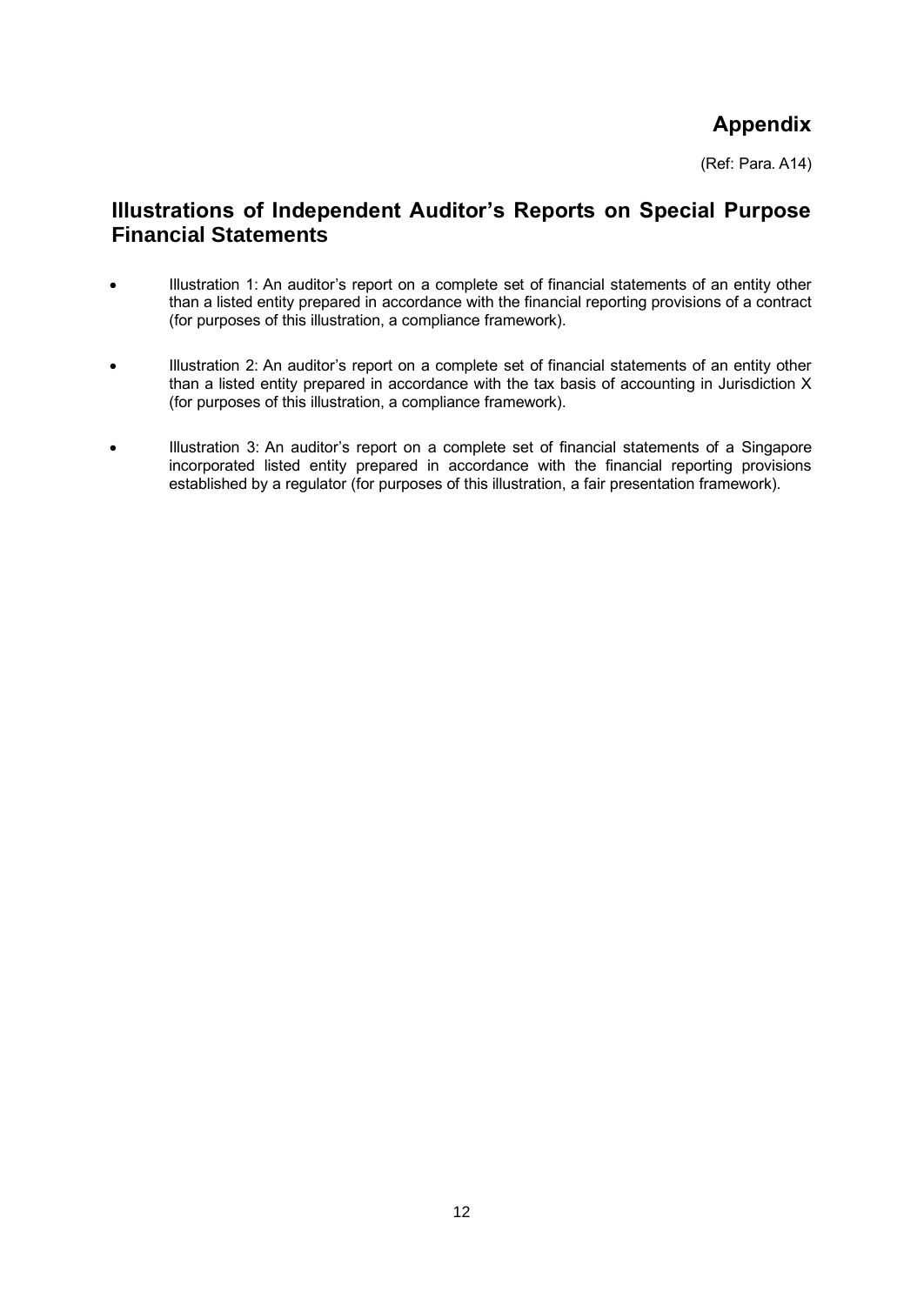## **Appendix**

(Ref: Para. A14)

## **Illustrations of Independent Auditor's Reports on Special Purpose Financial Statements**

- Illustration 1: An auditor's report on a complete set of financial statements of an entity other than a listed entity prepared in accordance with the financial reporting provisions of a contract (for purposes of this illustration, a compliance framework).
- Illustration 2: An auditor's report on a complete set of financial statements of an entity other than a listed entity prepared in accordance with the tax basis of accounting in Jurisdiction X (for purposes of this illustration, a compliance framework).
- Illustration 3: An auditor's report on a complete set of financial statements of a Singapore incorporated listed entity prepared in accordance with the financial reporting provisions established by a regulator (for purposes of this illustration, a fair presentation framework).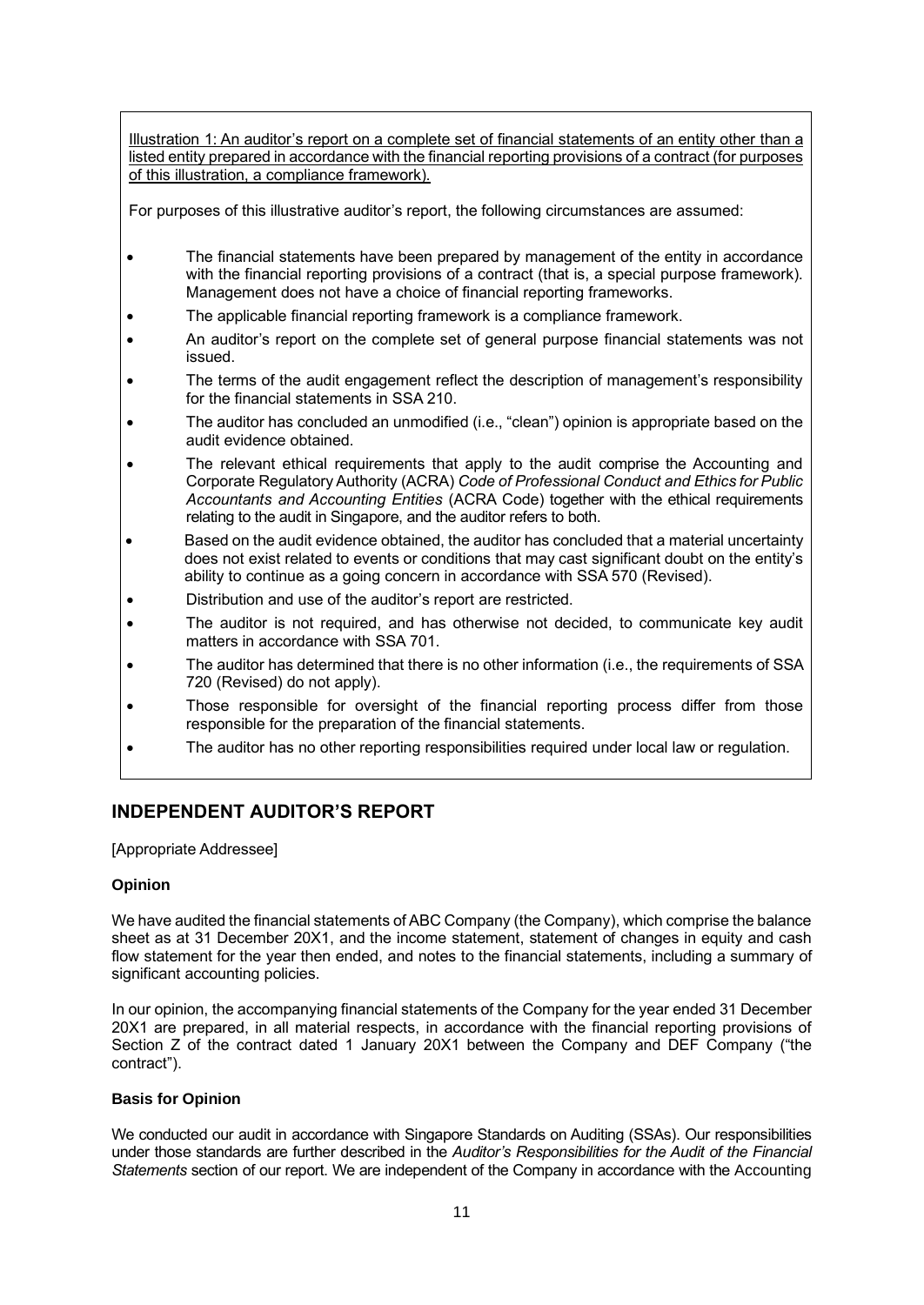Illustration 1: An auditor's report on a complete set of financial statements of an entity other than a listed entity prepared in accordance with the financial reporting provisions of a contract (for purposes of this illustration, a compliance framework).

For purposes of this illustrative auditor's report, the following circumstances are assumed:

- The financial statements have been prepared by management of the entity in accordance with the financial reporting provisions of a contract (that is, a special purpose framework). Management does not have a choice of financial reporting frameworks.
- The applicable financial reporting framework is a compliance framework.
- An auditor's report on the complete set of general purpose financial statements was not issued.
- The terms of the audit engagement reflect the description of management's responsibility for the financial statements in SSA 210.
- The auditor has concluded an unmodified (i.e., "clean") opinion is appropriate based on the audit evidence obtained.
- The relevant ethical requirements that apply to the audit comprise the Accounting and Corporate Regulatory Authority (ACRA) *Code of Professional Conduct and Ethics for Public Accountants and Accounting Entities* (ACRA Code) together with the ethical requirements relating to the audit in Singapore, and the auditor refers to both.
- Based on the audit evidence obtained, the auditor has concluded that a material uncertainty does not exist related to events or conditions that may cast significant doubt on the entity's ability to continue as a going concern in accordance with SSA 570 (Revised).
- Distribution and use of the auditor's report are restricted.
- The auditor is not required, and has otherwise not decided, to communicate key audit matters in accordance with SSA 701.
- The auditor has determined that there is no other information (i.e., the requirements of SSA 720 (Revised) do not apply).
- Those responsible for oversight of the financial reporting process differ from those responsible for the preparation of the financial statements.
- The auditor has no other reporting responsibilities required under local law or regulation.

## **INDEPENDENT AUDITOR'S REPORT**

[Appropriate Addressee]

#### **Opinion**

We have audited the financial statements of ABC Company (the Company), which comprise the balance sheet as at 31 December 20X1, and the income statement, statement of changes in equity and cash flow statement for the year then ended, and notes to the financial statements, including a summary of significant accounting policies.

In our opinion, the accompanying financial statements of the Company for the year ended 31 December 20X1 are prepared, in all material respects, in accordance with the financial reporting provisions of Section Z of the contract dated 1 January 20X1 between the Company and DEF Company ("the contract").

#### **Basis for Opinion**

We conducted our audit in accordance with Singapore Standards on Auditing (SSAs). Our responsibilities under those standards are further described in the *Auditor's Responsibilities for the Audit of the Financial Statements* section of our report. We are independent of the Company in accordance with the Accounting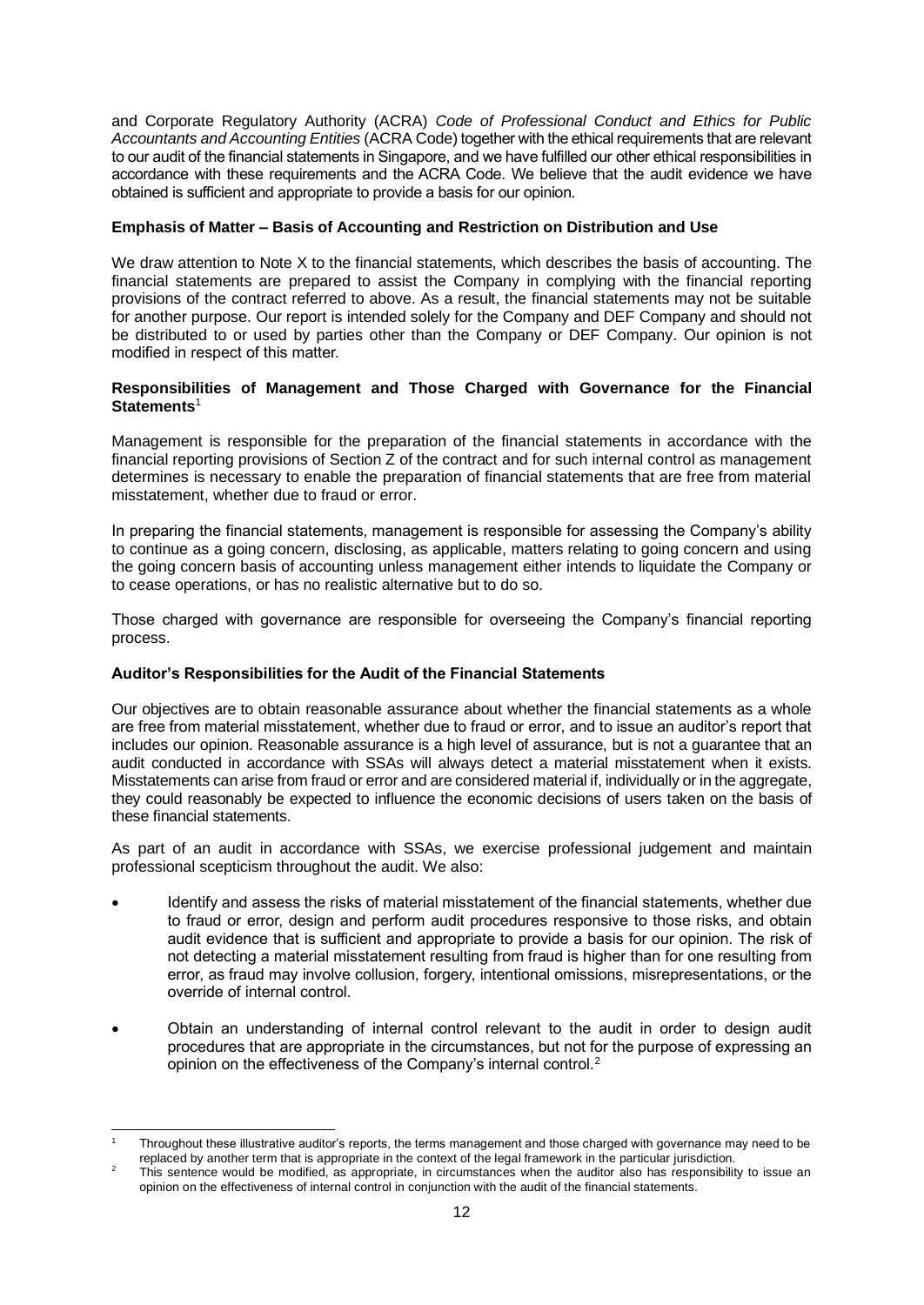and Corporate Regulatory Authority (ACRA) *Code of Professional Conduct and Ethics for Public Accountants and Accounting Entities* (ACRA Code) together with the ethical requirements that are relevant to our audit of the financial statements in Singapore, and we have fulfilled our other ethical responsibilities in accordance with these requirements and the ACRA Code. We believe that the audit evidence we have obtained is sufficient and appropriate to provide a basis for our opinion.

#### **Emphasis of Matter – Basis of Accounting and Restriction on Distribution and Use**

We draw attention to Note X to the financial statements, which describes the basis of accounting. The financial statements are prepared to assist the Company in complying with the financial reporting provisions of the contract referred to above. As a result, the financial statements may not be suitable for another purpose. Our report is intended solely for the Company and DEF Company and should not be distributed to or used by parties other than the Company or DEF Company. Our opinion is not modified in respect of this matter.

#### **Responsibilities of Management and Those Charged with Governance for the Financial Statements**<sup>1</sup>

Management is responsible for the preparation of the financial statements in accordance with the financial reporting provisions of Section Z of the contract and for such internal control as management determines is necessary to enable the preparation of financial statements that are free from material misstatement, whether due to fraud or error.

In preparing the financial statements, management is responsible for assessing the Company's ability to continue as a going concern, disclosing, as applicable, matters relating to going concern and using the going concern basis of accounting unless management either intends to liquidate the Company or to cease operations, or has no realistic alternative but to do so.

Those charged with governance are responsible for overseeing the Company's financial reporting process.

#### **Auditor's Responsibilities for the Audit of the Financial Statements**

Our objectives are to obtain reasonable assurance about whether the financial statements as a whole are free from material misstatement, whether due to fraud or error, and to issue an auditor's report that includes our opinion. Reasonable assurance is a high level of assurance, but is not a guarantee that an audit conducted in accordance with SSAs will always detect a material misstatement when it exists. Misstatements can arise from fraud or error and are considered material if, individually or in the aggregate, they could reasonably be expected to influence the economic decisions of users taken on the basis of these financial statements.

As part of an audit in accordance with SSAs, we exercise professional judgement and maintain professional scepticism throughout the audit. We also:

- Identify and assess the risks of material misstatement of the financial statements, whether due to fraud or error, design and perform audit procedures responsive to those risks, and obtain audit evidence that is sufficient and appropriate to provide a basis for our opinion. The risk of not detecting a material misstatement resulting from fraud is higher than for one resulting from error, as fraud may involve collusion, forgery, intentional omissions, misrepresentations, or the override of internal control.
- Obtain an understanding of internal control relevant to the audit in order to design audit procedures that are appropriate in the circumstances, but not for the purpose of expressing an opinion on the effectiveness of the Company's internal control.<sup>2</sup>

<sup>1</sup> Throughout these illustrative auditor's reports, the terms management and those charged with governance may need to be replaced by another term that is appropriate in the context of the legal framework in the particular jurisdiction.

<sup>2</sup> This sentence would be modified, as appropriate, in circumstances when the auditor also has responsibility to issue an opinion on the effectiveness of internal control in conjunction with the audit of the financial statements.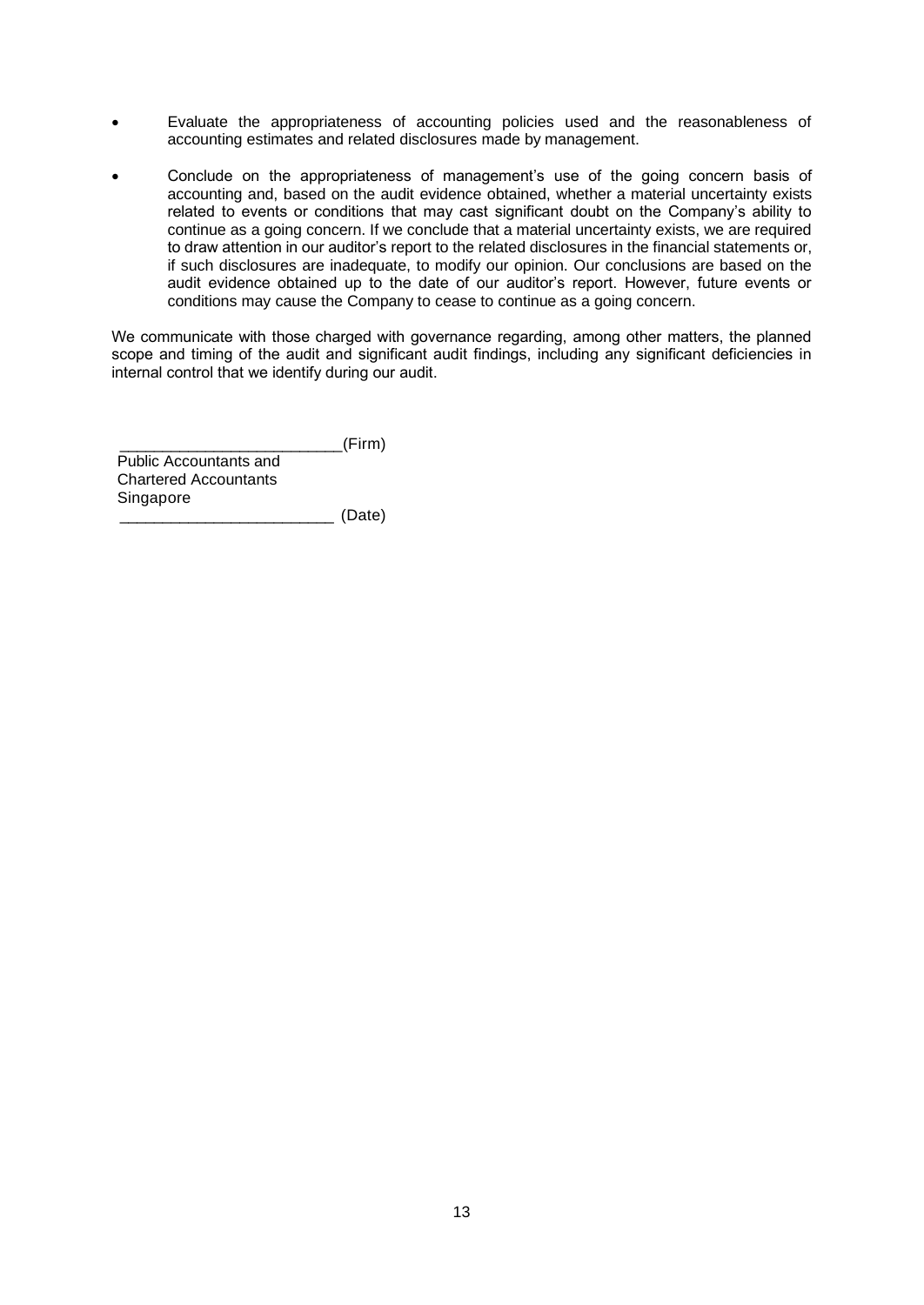- Evaluate the appropriateness of accounting policies used and the reasonableness of accounting estimates and related disclosures made by management.
- Conclude on the appropriateness of management's use of the going concern basis of accounting and, based on the audit evidence obtained, whether a material uncertainty exists related to events or conditions that may cast significant doubt on the Company's ability to continue as a going concern. If we conclude that a material uncertainty exists, we are required to draw attention in our auditor's report to the related disclosures in the financial statements or, if such disclosures are inadequate, to modify our opinion. Our conclusions are based on the audit evidence obtained up to the date of our auditor's report. However, future events or conditions may cause the Company to cease to continue as a going concern.

We communicate with those charged with governance regarding, among other matters, the planned scope and timing of the audit and significant audit findings, including any significant deficiencies in internal control that we identify during our audit.

 $(Firm)$ Public Accountants and Chartered Accountants Singapore

 $\angle$  (Date)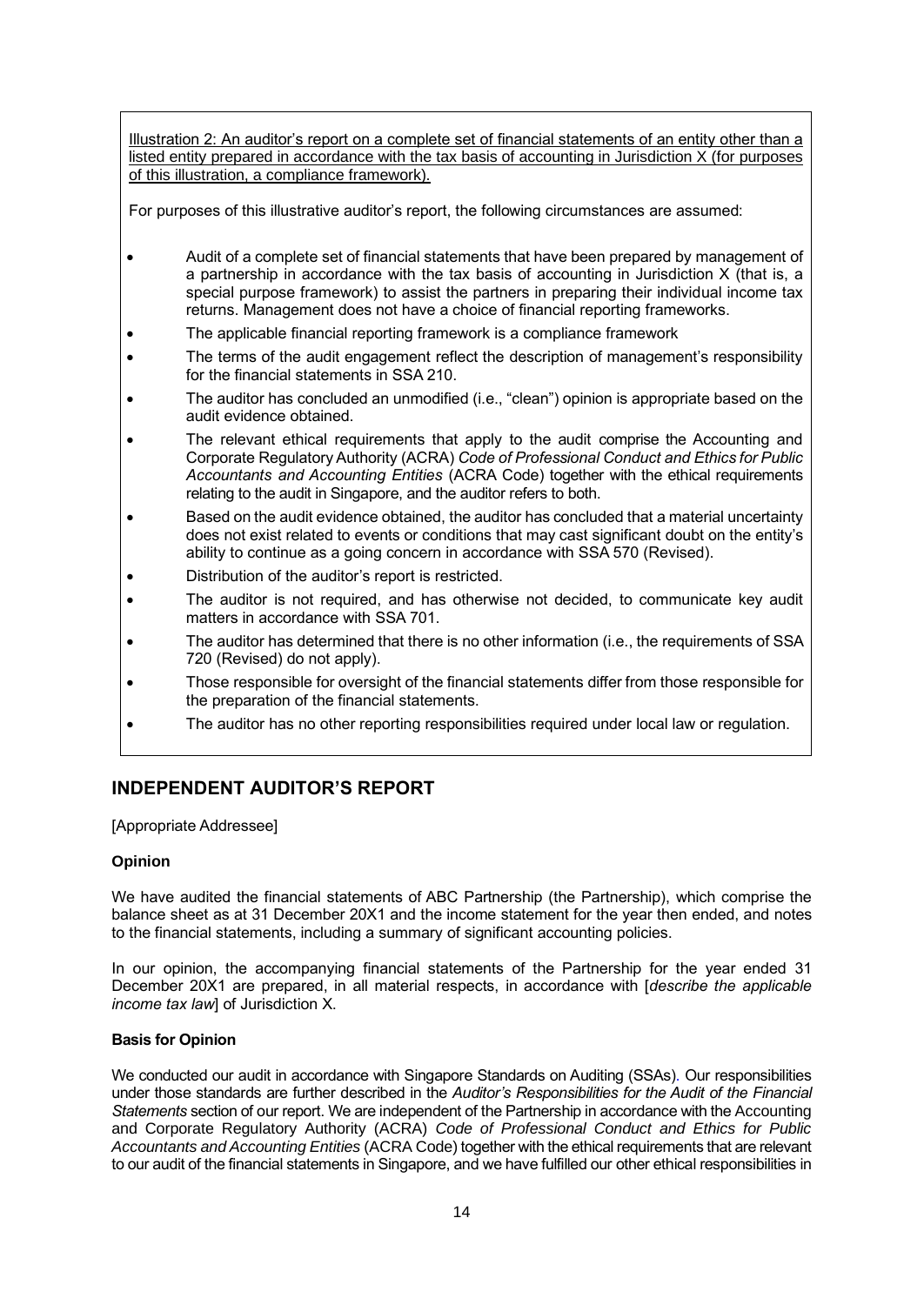Illustration 2: An auditor's report on a complete set of financial statements of an entity other than a listed entity prepared in accordance with the tax basis of accounting in Jurisdiction X (for purposes of this illustration, a compliance framework).

For purposes of this illustrative auditor's report, the following circumstances are assumed:

- Audit of a complete set of financial statements that have been prepared by management of a partnership in accordance with the tax basis of accounting in Jurisdiction X (that is, a special purpose framework) to assist the partners in preparing their individual income tax returns. Management does not have a choice of financial reporting frameworks.
- The applicable financial reporting framework is a compliance framework
- The terms of the audit engagement reflect the description of management's responsibility for the financial statements in SSA 210.
- The auditor has concluded an unmodified (i.e., "clean") opinion is appropriate based on the audit evidence obtained.
- The relevant ethical requirements that apply to the audit comprise the Accounting and Corporate Regulatory Authority (ACRA) *Code of Professional Conduct and Ethics for Public Accountants and Accounting Entities* (ACRA Code) together with the ethical requirements relating to the audit in Singapore, and the auditor refers to both.
- Based on the audit evidence obtained, the auditor has concluded that a material uncertainty does not exist related to events or conditions that may cast significant doubt on the entity's ability to continue as a going concern in accordance with SSA 570 (Revised).
- Distribution of the auditor's report is restricted.
- The auditor is not required, and has otherwise not decided, to communicate key audit matters in accordance with SSA 701.
- The auditor has determined that there is no other information (i.e., the requirements of SSA 720 (Revised) do not apply).
- Those responsible for oversight of the financial statements differ from those responsible for the preparation of the financial statements.
- The auditor has no other reporting responsibilities required under local law or requlation.

## **INDEPENDENT AUDITOR'S REPORT**

[Appropriate Addressee]

#### **Opinion**

We have audited the financial statements of ABC Partnership (the Partnership), which comprise the balance sheet as at 31 December 20X1 and the income statement for the year then ended, and notes to the financial statements, including a summary of significant accounting policies.

In our opinion, the accompanying financial statements of the Partnership for the year ended 31 December 20X1 are prepared, in all material respects, in accordance with [*describe the applicable income tax law*] of Jurisdiction X.

#### **Basis for Opinion**

We conducted our audit in accordance with Singapore Standards on Auditing (SSAs). Our responsibilities under those standards are further described in the *Auditor's Responsibilities for the Audit of the Financial Statements* section of our report. We are independent of the Partnership in accordance with the Accounting and Corporate Regulatory Authority (ACRA) *Code of Professional Conduct and Ethics for Public Accountants and Accounting Entities* (ACRA Code) together with the ethical requirements that are relevant to our audit of the financial statements in Singapore, and we have fulfilled our other ethical responsibilities in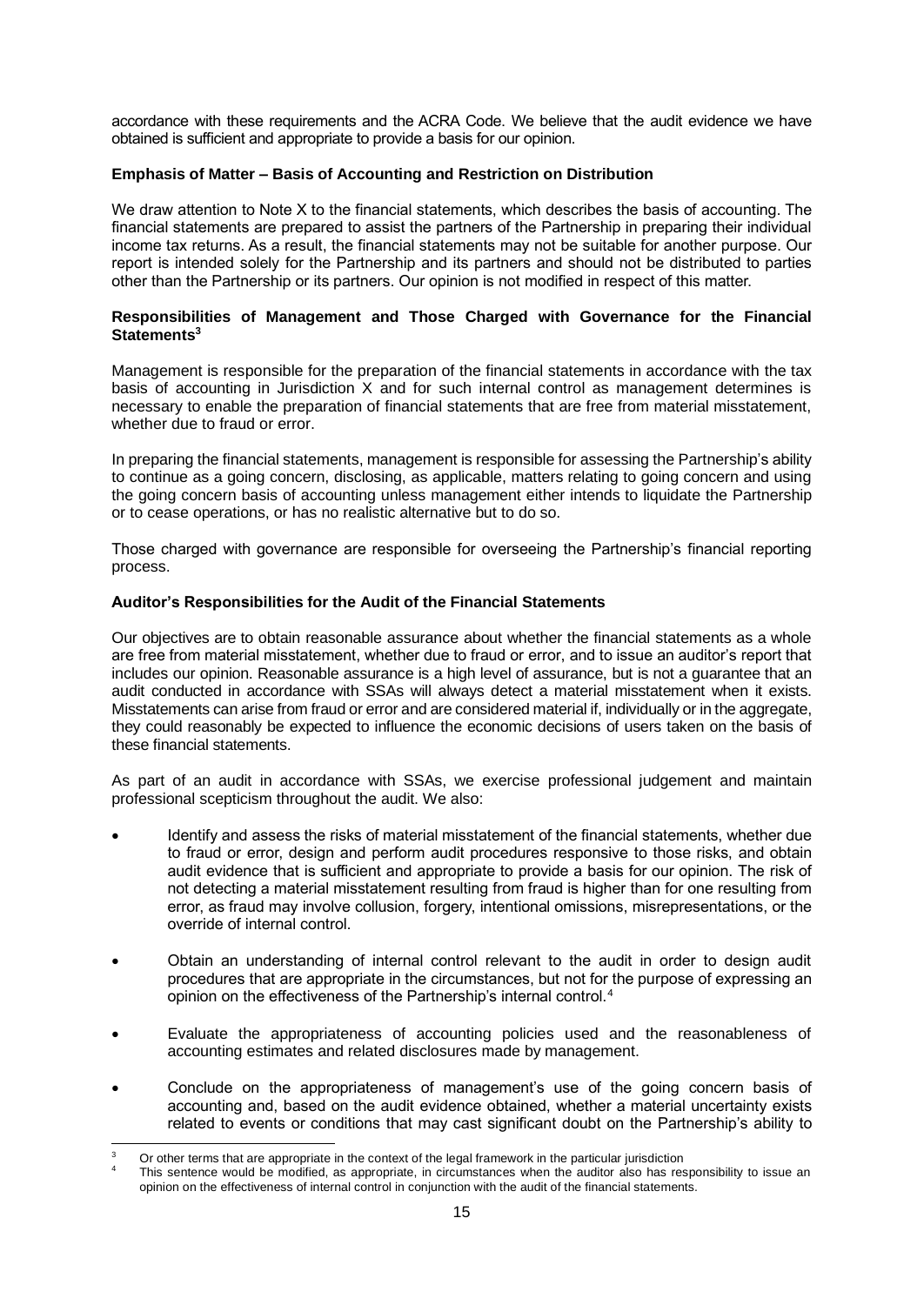accordance with these requirements and the ACRA Code. We believe that the audit evidence we have obtained is sufficient and appropriate to provide a basis for our opinion.

#### **Emphasis of Matter – Basis of Accounting and Restriction on Distribution**

We draw attention to Note X to the financial statements, which describes the basis of accounting. The financial statements are prepared to assist the partners of the Partnership in preparing their individual income tax returns. As a result, the financial statements may not be suitable for another purpose. Our report is intended solely for the Partnership and its partners and should not be distributed to parties other than the Partnership or its partners. Our opinion is not modified in respect of this matter.

#### **Responsibilities of Management and Those Charged with Governance for the Financial Statements<sup>3</sup>**

Management is responsible for the preparation of the financial statements in accordance with the tax basis of accounting in Jurisdiction X and for such internal control as management determines is necessary to enable the preparation of financial statements that are free from material misstatement, whether due to fraud or error

In preparing the financial statements, management is responsible for assessing the Partnership's ability to continue as a going concern, disclosing, as applicable, matters relating to going concern and using the going concern basis of accounting unless management either intends to liquidate the Partnership or to cease operations, or has no realistic alternative but to do so.

Those charged with governance are responsible for overseeing the Partnership's financial reporting process.

#### **Auditor's Responsibilities for the Audit of the Financial Statements**

Our objectives are to obtain reasonable assurance about whether the financial statements as a whole are free from material misstatement, whether due to fraud or error, and to issue an auditor's report that includes our opinion. Reasonable assurance is a high level of assurance, but is not a guarantee that an audit conducted in accordance with SSAs will always detect a material misstatement when it exists. Misstatements can arise from fraud or error and are considered material if, individually or in the aggregate, they could reasonably be expected to influence the economic decisions of users taken on the basis of these financial statements.

As part of an audit in accordance with SSAs, we exercise professional judgement and maintain professional scepticism throughout the audit. We also:

- Identify and assess the risks of material misstatement of the financial statements, whether due to fraud or error, design and perform audit procedures responsive to those risks, and obtain audit evidence that is sufficient and appropriate to provide a basis for our opinion. The risk of not detecting a material misstatement resulting from fraud is higher than for one resulting from error, as fraud may involve collusion, forgery, intentional omissions, misrepresentations, or the override of internal control.
- Obtain an understanding of internal control relevant to the audit in order to design audit procedures that are appropriate in the circumstances, but not for the purpose of expressing an opinion on the effectiveness of the Partnership's internal control.<sup>4</sup>
- Evaluate the appropriateness of accounting policies used and the reasonableness of accounting estimates and related disclosures made by management.
- Conclude on the appropriateness of management's use of the going concern basis of accounting and, based on the audit evidence obtained, whether a material uncertainty exists related to events or conditions that may cast significant doubt on the Partnership's ability to

<sup>3</sup> Or other terms that are appropriate in the context of the legal framework in the particular jurisdiction

This sentence would be modified, as appropriate, in circumstances when the auditor also has responsibility to issue an opinion on the effectiveness of internal control in conjunction with the audit of the financial statements.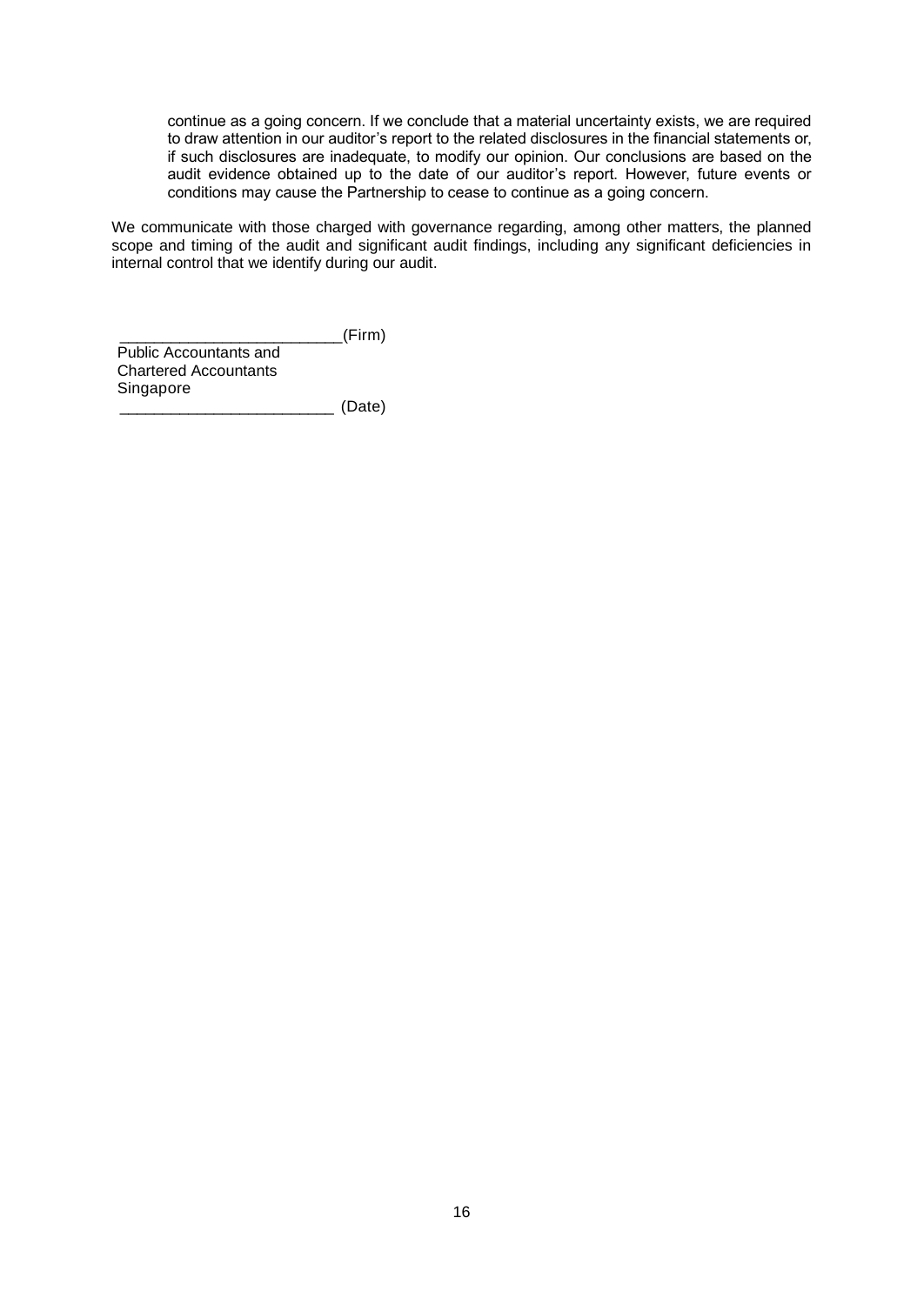continue as a going concern. If we conclude that a material uncertainty exists, we are required to draw attention in our auditor's report to the related disclosures in the financial statements or, if such disclosures are inadequate, to modify our opinion. Our conclusions are based on the audit evidence obtained up to the date of our auditor's report. However, future events or conditions may cause the Partnership to cease to continue as a going concern.

We communicate with those charged with governance regarding, among other matters, the planned scope and timing of the audit and significant audit findings, including any significant deficiencies in internal control that we identify during our audit.

 $(Firm)$ 

Public Accountants and Chartered Accountants Singapore

\_\_\_\_\_\_\_\_\_\_\_\_\_\_\_\_\_\_\_\_\_\_\_\_\_ (Date)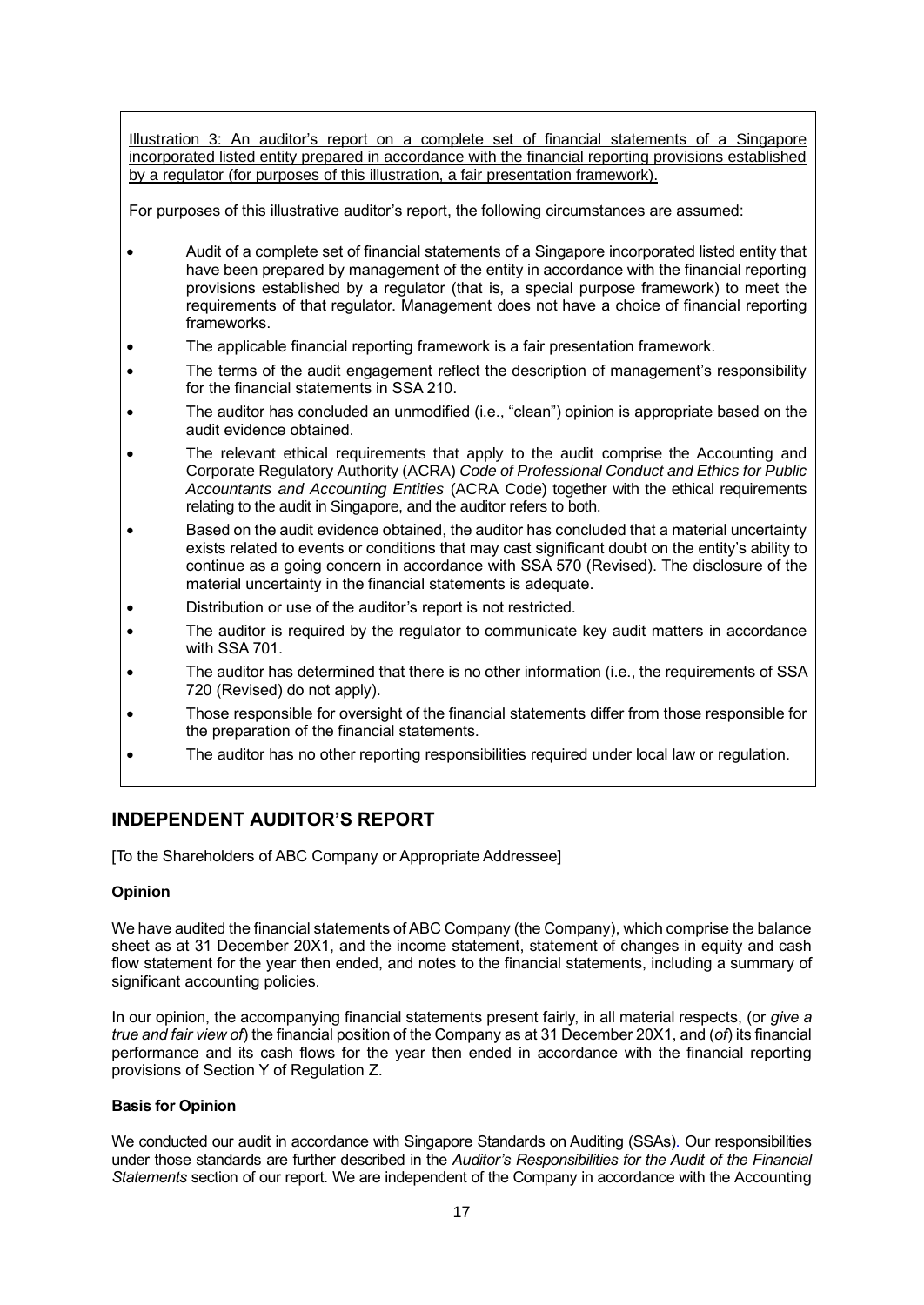Illustration 3: An auditor's report on a complete set of financial statements of a Singapore incorporated listed entity prepared in accordance with the financial reporting provisions established by a regulator (for purposes of this illustration, a fair presentation framework).

For purposes of this illustrative auditor's report, the following circumstances are assumed:

- Audit of a complete set of financial statements of a Singapore incorporated listed entity that have been prepared by management of the entity in accordance with the financial reporting provisions established by a regulator (that is, a special purpose framework) to meet the requirements of that regulator. Management does not have a choice of financial reporting frameworks.
- The applicable financial reporting framework is a fair presentation framework.
- The terms of the audit engagement reflect the description of management's responsibility for the financial statements in SSA 210.
- The auditor has concluded an unmodified (i.e., "clean") opinion is appropriate based on the audit evidence obtained.
- The relevant ethical requirements that apply to the audit comprise the Accounting and Corporate Regulatory Authority (ACRA) *Code of Professional Conduct and Ethics for Public Accountants and Accounting Entities* (ACRA Code) together with the ethical requirements relating to the audit in Singapore, and the auditor refers to both.
- Based on the audit evidence obtained, the auditor has concluded that a material uncertainty exists related to events or conditions that may cast significant doubt on the entity's ability to continue as a going concern in accordance with SSA 570 (Revised). The disclosure of the material uncertainty in the financial statements is adequate.
- Distribution or use of the auditor's report is not restricted.
- The auditor is required by the requlator to communicate key audit matters in accordance with SSA 701.
- The auditor has determined that there is no other information (i.e., the requirements of SSA 720 (Revised) do not apply).
- Those responsible for oversight of the financial statements differ from those responsible for the preparation of the financial statements.
- The auditor has no other reporting responsibilities required under local law or regulation.

## **INDEPENDENT AUDITOR'S REPORT**

[To the Shareholders of ABC Company or Appropriate Addressee]

#### **Opinion**

We have audited the financial statements of ABC Company (the Company), which comprise the balance sheet as at 31 December 20X1, and the income statement, statement of changes in equity and cash flow statement for the year then ended, and notes to the financial statements, including a summary of significant accounting policies.

In our opinion, the accompanying financial statements present fairly, in all material respects, (or *give a true and fair view of*) the financial position of the Company as at 31 December 20X1, and (*of*) its financial performance and its cash flows for the year then ended in accordance with the financial reporting provisions of Section Y of Regulation Z.

#### **Basis for Opinion**

We conducted our audit in accordance with Singapore Standards on Auditing (SSAs). Our responsibilities under those standards are further described in the *Auditor's Responsibilities for the Audit of the Financial Statements* section of our report. We are independent of the Company in accordance with the Accounting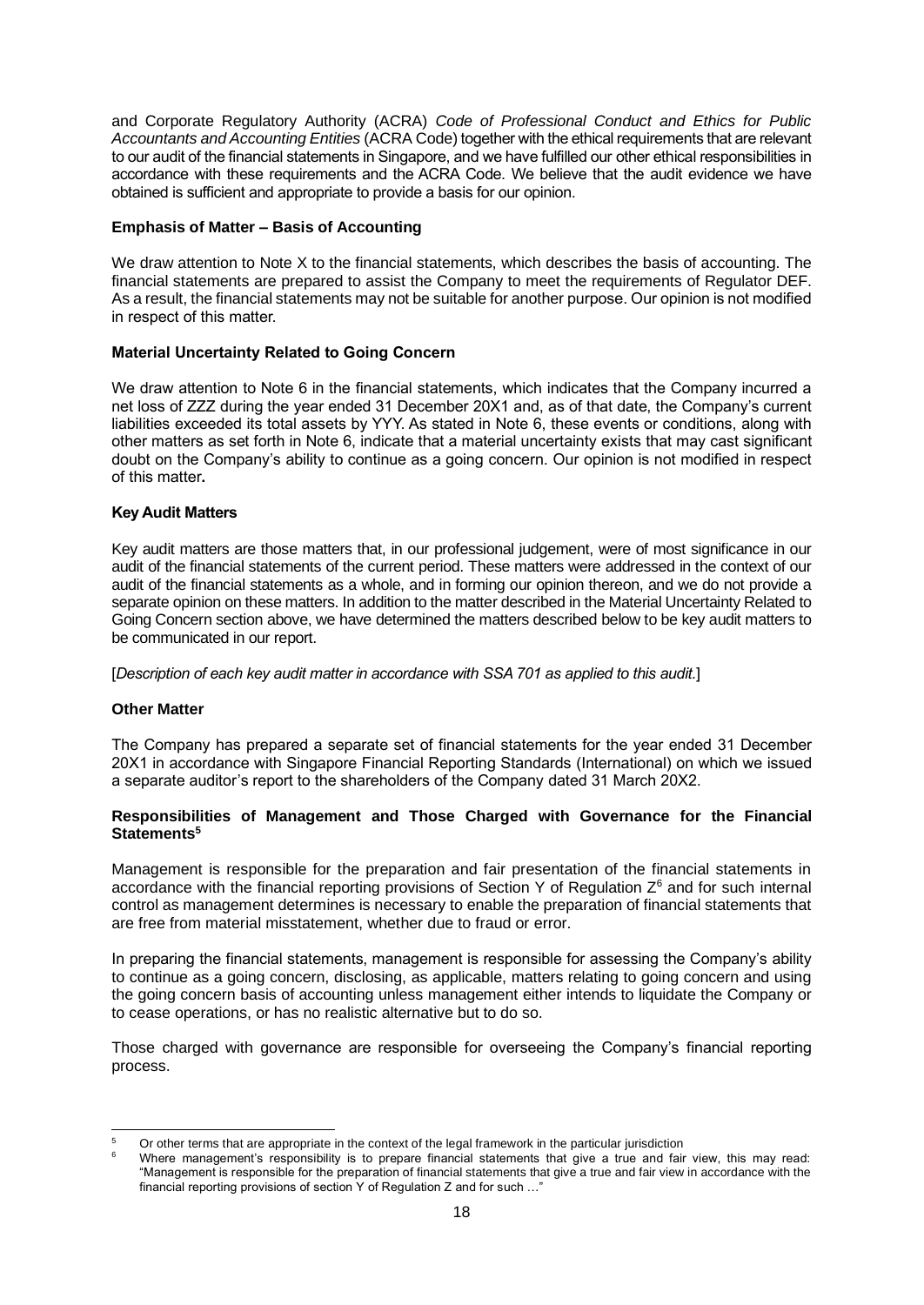and Corporate Regulatory Authority (ACRA) *Code of Professional Conduct and Ethics for Public Accountants and Accounting Entities* (ACRA Code) together with the ethical requirements that are relevant to our audit of the financial statements in Singapore, and we have fulfilled our other ethical responsibilities in accordance with these requirements and the ACRA Code. We believe that the audit evidence we have obtained is sufficient and appropriate to provide a basis for our opinion.

#### **Emphasis of Matter – Basis of Accounting**

We draw attention to Note X to the financial statements, which describes the basis of accounting. The financial statements are prepared to assist the Company to meet the requirements of Regulator DEF. As a result, the financial statements may not be suitable for another purpose. Our opinion is not modified in respect of this matter.

#### **Material Uncertainty Related to Going Concern**

We draw attention to Note 6 in the financial statements, which indicates that the Company incurred a net loss of ZZZ during the year ended 31 December 20X1 and, as of that date, the Company's current liabilities exceeded its total assets by YYY. As stated in Note 6, these events or conditions, along with other matters as set forth in Note 6, indicate that a material uncertainty exists that may cast significant doubt on the Company's ability to continue as a going concern. Our opinion is not modified in respect of this matter**.**

#### **Key Audit Matters**

Key audit matters are those matters that, in our professional judgement, were of most significance in our audit of the financial statements of the current period. These matters were addressed in the context of our audit of the financial statements as a whole, and in forming our opinion thereon, and we do not provide a separate opinion on these matters. In addition to the matter described in the Material Uncertainty Related to Going Concern section above, we have determined the matters described below to be key audit matters to be communicated in our report.

[*Description of each key audit matter in accordance with SSA 701 as applied to this audit.*]

#### **Other Matter**

The Company has prepared a separate set of financial statements for the year ended 31 December 20X1 in accordance with Singapore Financial Reporting Standards (International) on which we issued a separate auditor's report to the shareholders of the Company dated 31 March 20X2.

#### **Responsibilities of Management and Those Charged with Governance for the Financial Statements<sup>5</sup>**

Management is responsible for the preparation and fair presentation of the financial statements in accordance with the financial reporting provisions of Section Y of Regulation  $Z^6$  and for such internal control as management determines is necessary to enable the preparation of financial statements that are free from material misstatement, whether due to fraud or error.

In preparing the financial statements, management is responsible for assessing the Company's ability to continue as a going concern, disclosing, as applicable, matters relating to going concern and using the going concern basis of accounting unless management either intends to liquidate the Company or to cease operations, or has no realistic alternative but to do so.

Those charged with governance are responsible for overseeing the Company's financial reporting process.

<sup>5</sup> Or other terms that are appropriate in the context of the legal framework in the particular jurisdiction

Where management's responsibility is to prepare financial statements that give a true and fair view, this may read: "Management is responsible for the preparation of financial statements that give a true and fair view in accordance with the financial reporting provisions of section Y of Regulation Z and for such ...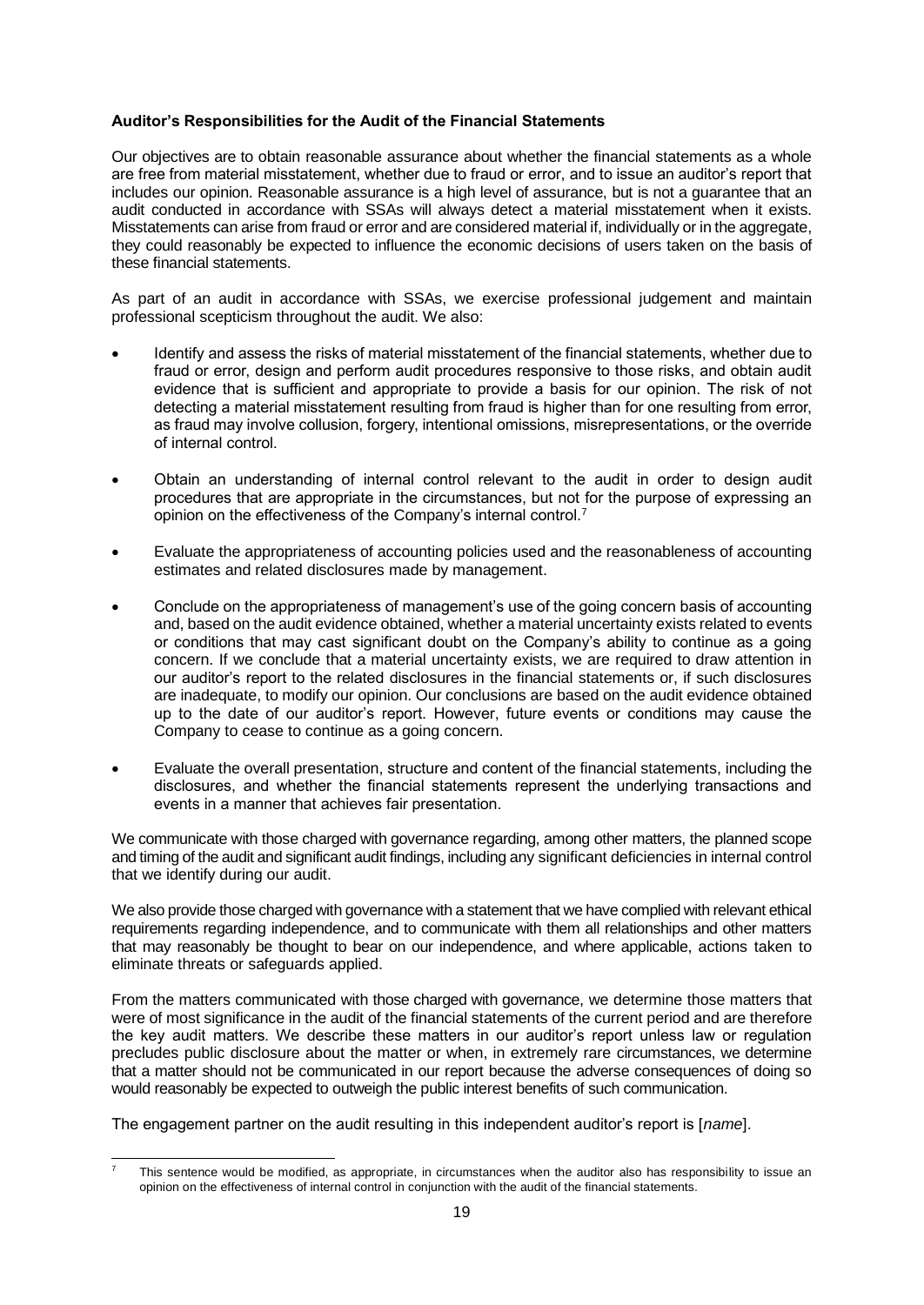#### **Auditor's Responsibilities for the Audit of the Financial Statements**

Our objectives are to obtain reasonable assurance about whether the financial statements as a whole are free from material misstatement, whether due to fraud or error, and to issue an auditor's report that includes our opinion. Reasonable assurance is a high level of assurance, but is not a guarantee that an audit conducted in accordance with SSAs will always detect a material misstatement when it exists. Misstatements can arise from fraud or error and are considered material if, individually or in the aggregate, they could reasonably be expected to influence the economic decisions of users taken on the basis of these financial statements.

As part of an audit in accordance with SSAs, we exercise professional judgement and maintain professional scepticism throughout the audit. We also:

- Identify and assess the risks of material misstatement of the financial statements, whether due to fraud or error, design and perform audit procedures responsive to those risks, and obtain audit evidence that is sufficient and appropriate to provide a basis for our opinion. The risk of not detecting a material misstatement resulting from fraud is higher than for one resulting from error, as fraud may involve collusion, forgery, intentional omissions, misrepresentations, or the override of internal control.
- Obtain an understanding of internal control relevant to the audit in order to design audit procedures that are appropriate in the circumstances, but not for the purpose of expressing an opinion on the effectiveness of the Company's internal control.<sup>7</sup>
- Evaluate the appropriateness of accounting policies used and the reasonableness of accounting estimates and related disclosures made by management.
- Conclude on the appropriateness of management's use of the going concern basis of accounting and, based on the audit evidence obtained, whether a material uncertainty exists related to events or conditions that may cast significant doubt on the Company's ability to continue as a going concern. If we conclude that a material uncertainty exists, we are required to draw attention in our auditor's report to the related disclosures in the financial statements or, if such disclosures are inadequate, to modify our opinion. Our conclusions are based on the audit evidence obtained up to the date of our auditor's report. However, future events or conditions may cause the Company to cease to continue as a going concern.
- Evaluate the overall presentation, structure and content of the financial statements, including the disclosures, and whether the financial statements represent the underlying transactions and events in a manner that achieves fair presentation.

We communicate with those charged with governance regarding, among other matters, the planned scope and timing of the audit and significant audit findings, including any significant deficiencies in internal control that we identify during our audit.

We also provide those charged with governance with a statement that we have complied with relevant ethical requirements regarding independence, and to communicate with them all relationships and other matters that may reasonably be thought to bear on our independence, and where applicable, actions taken to eliminate threats or safeguards applied.

From the matters communicated with those charged with governance, we determine those matters that were of most significance in the audit of the financial statements of the current period and are therefore the key audit matters. We describe these matters in our auditor's report unless law or regulation precludes public disclosure about the matter or when, in extremely rare circumstances, we determine that a matter should not be communicated in our report because the adverse consequences of doing so would reasonably be expected to outweigh the public interest benefits of such communication.

The engagement partner on the audit resulting in this independent auditor's report is [*name*].

This sentence would be modified, as appropriate, in circumstances when the auditor also has responsibility to issue an opinion on the effectiveness of internal control in conjunction with the audit of the financial statements.